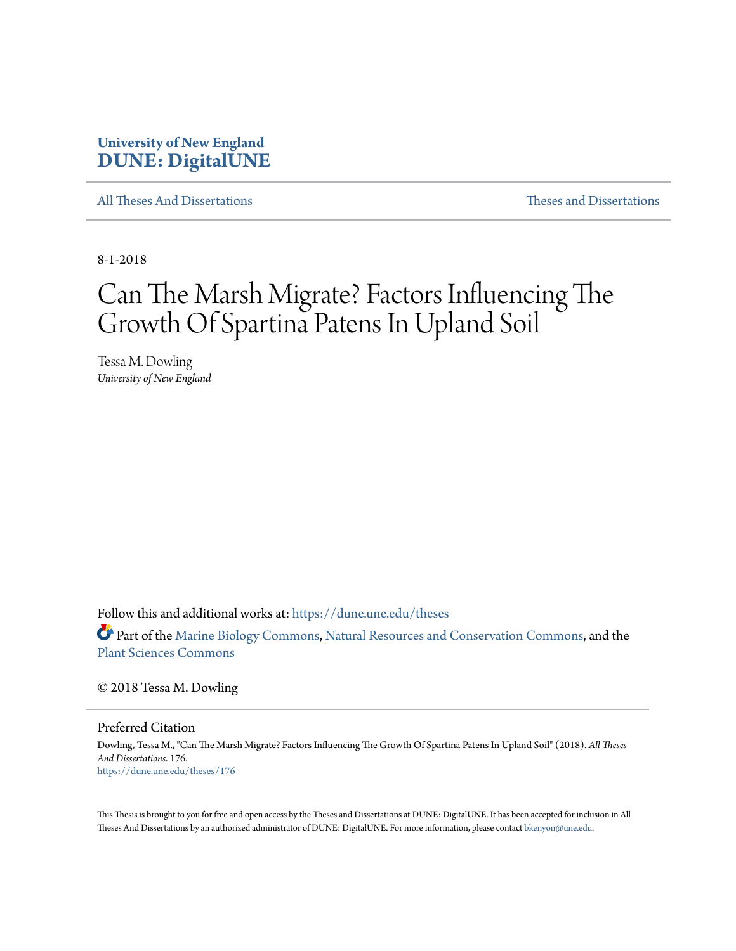# **University of New England [DUNE: DigitalUNE](https://dune.une.edu?utm_source=dune.une.edu%2Ftheses%2F176&utm_medium=PDF&utm_campaign=PDFCoverPages)**

[All Theses And Dissertations](https://dune.une.edu/theses?utm_source=dune.une.edu%2Ftheses%2F176&utm_medium=PDF&utm_campaign=PDFCoverPages) [Theses and Dissertations](https://dune.une.edu/theses_dissertations?utm_source=dune.une.edu%2Ftheses%2F176&utm_medium=PDF&utm_campaign=PDFCoverPages)

8-1-2018

# Can The Marsh Migrate? Factors Influencing The Growth Of Spartina Patens In Upland Soil

Tessa M. Dowling *University of New England*

Follow this and additional works at: [https://dune.une.edu/theses](https://dune.une.edu/theses?utm_source=dune.une.edu%2Ftheses%2F176&utm_medium=PDF&utm_campaign=PDFCoverPages)

Part of the [Marine Biology Commons,](http://network.bepress.com/hgg/discipline/1126?utm_source=dune.une.edu%2Ftheses%2F176&utm_medium=PDF&utm_campaign=PDFCoverPages) [Natural Resources and Conservation Commons](http://network.bepress.com/hgg/discipline/168?utm_source=dune.une.edu%2Ftheses%2F176&utm_medium=PDF&utm_campaign=PDFCoverPages), and the [Plant Sciences Commons](http://network.bepress.com/hgg/discipline/102?utm_source=dune.une.edu%2Ftheses%2F176&utm_medium=PDF&utm_campaign=PDFCoverPages)

© 2018 Tessa M. Dowling

Preferred Citation

Dowling, Tessa M., "Can The Marsh Migrate? Factors Influencing The Growth Of Spartina Patens In Upland Soil" (2018). *All Theses And Dissertations*. 176. [https://dune.une.edu/theses/176](https://dune.une.edu/theses/176?utm_source=dune.une.edu%2Ftheses%2F176&utm_medium=PDF&utm_campaign=PDFCoverPages)

This Thesis is brought to you for free and open access by the Theses and Dissertations at DUNE: DigitalUNE. It has been accepted for inclusion in All Theses And Dissertations by an authorized administrator of DUNE: DigitalUNE. For more information, please contact [bkenyon@une.edu.](mailto:bkenyon@une.edu)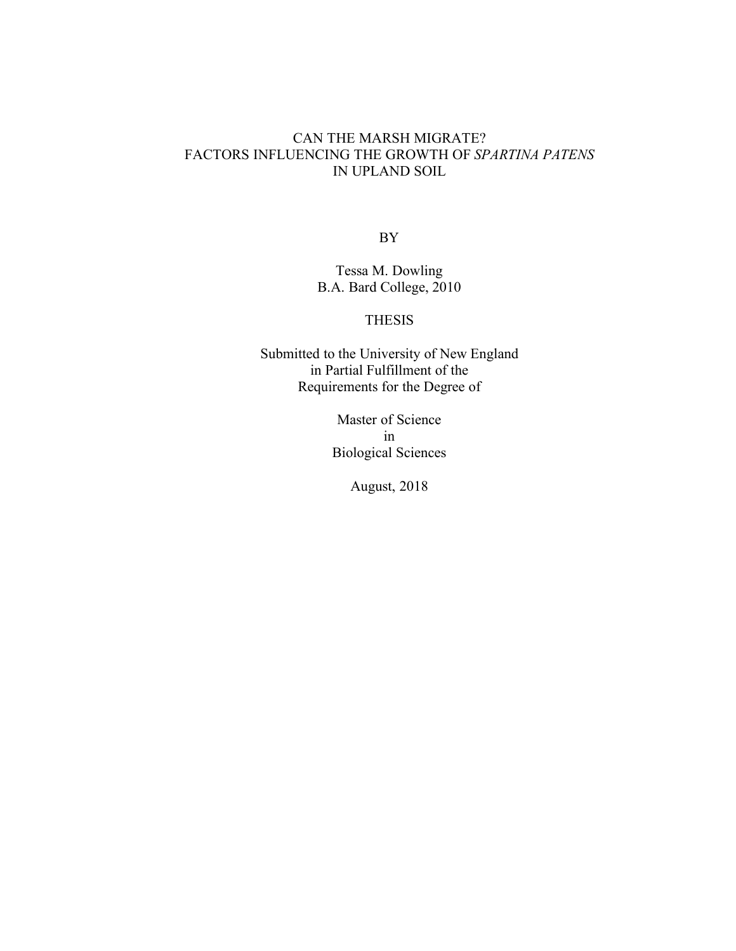## CAN THE MARSH MIGRATE? FACTORS INFLUENCING THE GROWTH OF *SPARTINA PATENS* IN UPLAND SOIL

BY

Tessa M. Dowling B.A. Bard College, 2010

## THESIS

Submitted to the University of New England in Partial Fulfillment of the Requirements for the Degree of

> Master of Science in Biological Sciences

> > August, 2018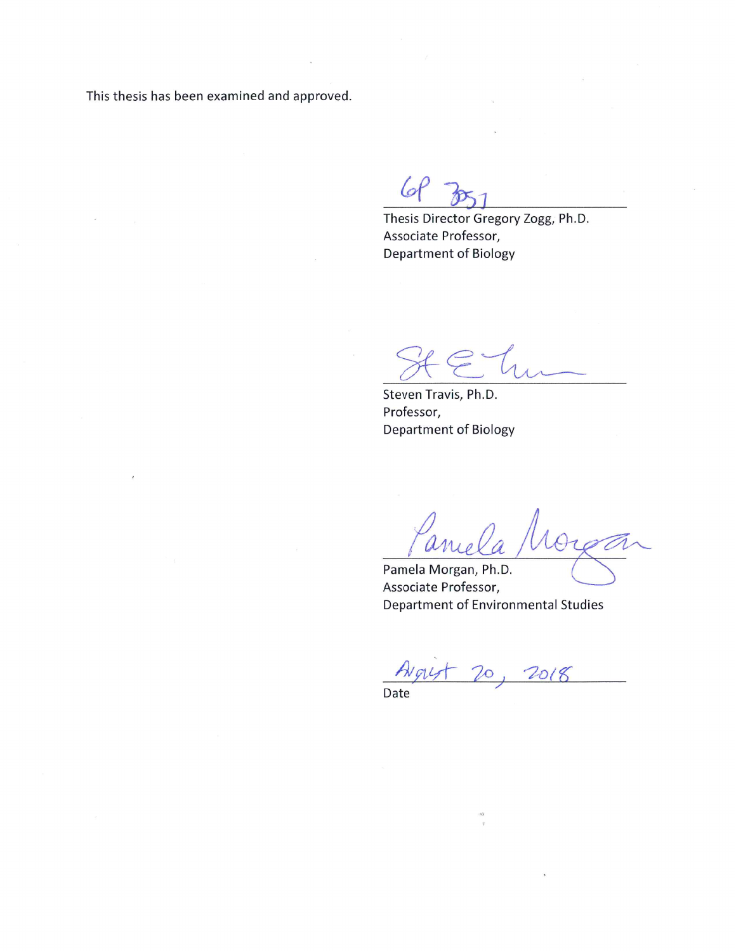This thesis has been examined and approved.

 $\hat{c}$ 

 $66$ 

Thesis Director Gregory Zogg, Ph.D. Associate Professor, Department of Biology

Steven Travis, Ph.D. Professor, **Department of Biology** 

 $\overline{\phantom{0}}$ ance Orga

Pamela Morgan, Ph.D. Associate Professor, Department of Environmental Studies

20, 2018 HNG

Date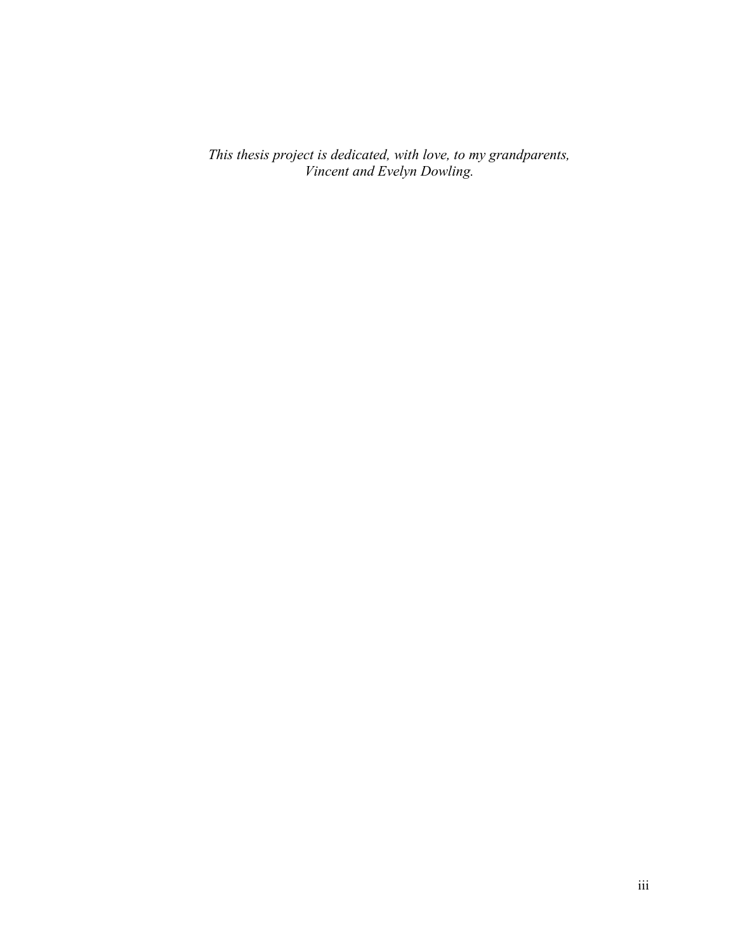*This thesis project is dedicated, with love, to my grandparents, Vincent and Evelyn Dowling.*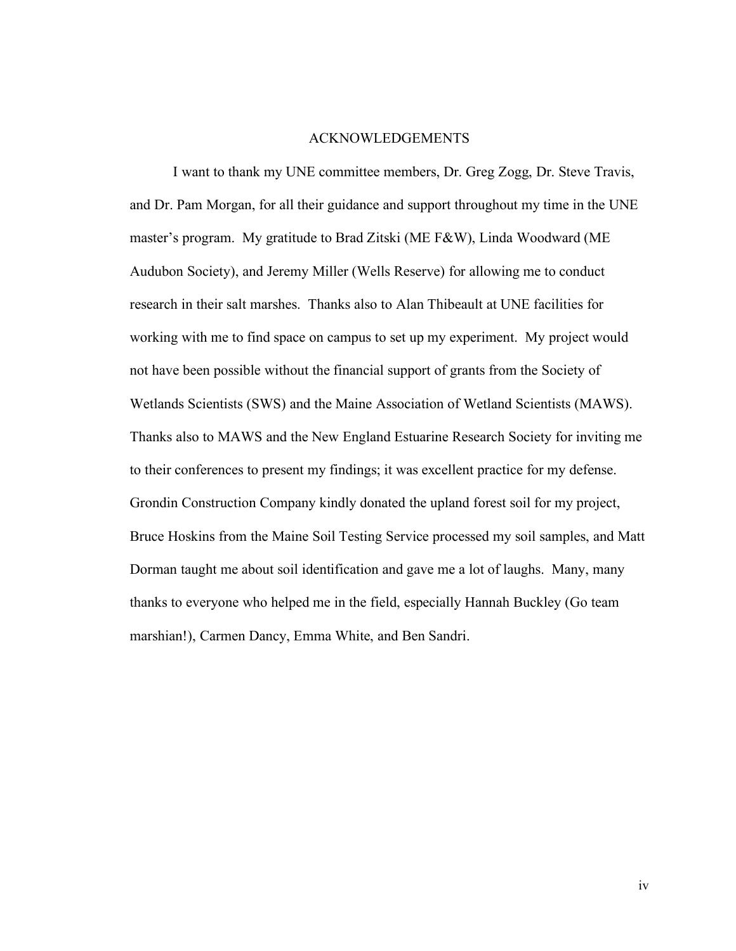#### ACKNOWLEDGEMENTS

I want to thank my UNE committee members, Dr. Greg Zogg, Dr. Steve Travis, and Dr. Pam Morgan, for all their guidance and support throughout my time in the UNE master's program. My gratitude to Brad Zitski (ME F&W), Linda Woodward (ME Audubon Society), and Jeremy Miller (Wells Reserve) for allowing me to conduct research in their salt marshes. Thanks also to Alan Thibeault at UNE facilities for working with me to find space on campus to set up my experiment. My project would not have been possible without the financial support of grants from the Society of Wetlands Scientists (SWS) and the Maine Association of Wetland Scientists (MAWS). Thanks also to MAWS and the New England Estuarine Research Society for inviting me to their conferences to present my findings; it was excellent practice for my defense. Grondin Construction Company kindly donated the upland forest soil for my project, Bruce Hoskins from the Maine Soil Testing Service processed my soil samples, and Matt Dorman taught me about soil identification and gave me a lot of laughs. Many, many thanks to everyone who helped me in the field, especially Hannah Buckley (Go team marshian!), Carmen Dancy, Emma White, and Ben Sandri.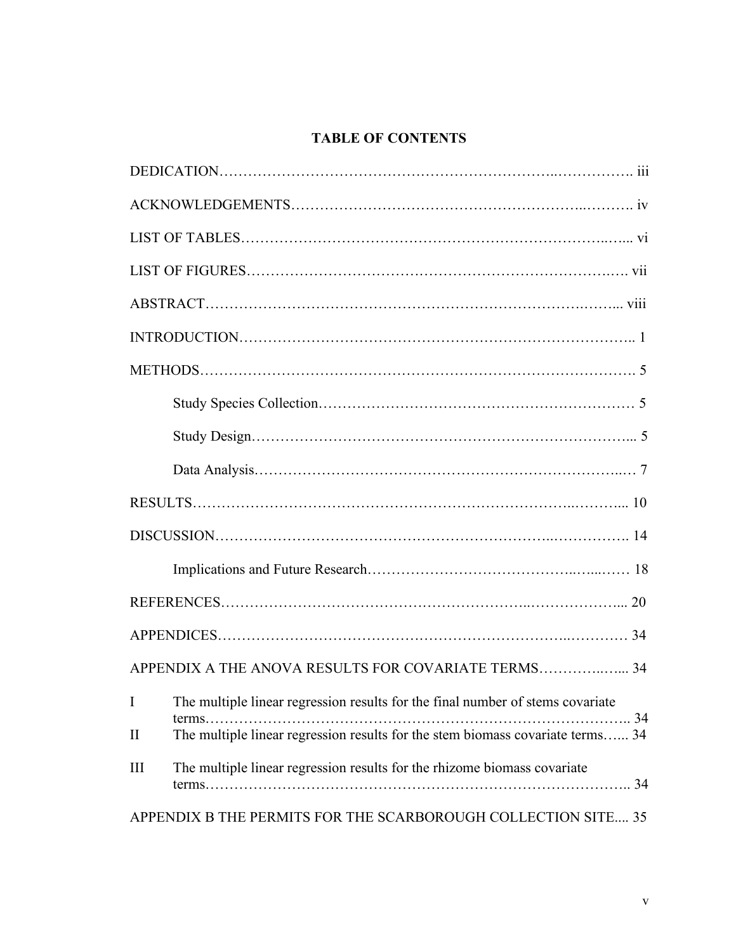# **TABLE OF CONTENTS**

| APPENDIX A THE ANOVA RESULTS FOR COVARIATE TERMS 34                                                                |
|--------------------------------------------------------------------------------------------------------------------|
| The multiple linear regression results for the final number of stems covariate<br>I                                |
| . . 34<br>terms.<br>The multiple linear regression results for the stem biomass covariate terms 34<br>$\mathbf{I}$ |
| The multiple linear regression results for the rhizome biomass covariate<br>Ш<br>34                                |
| APPENDIX B THE PERMITS FOR THE SCARBOROUGH COLLECTION SITE 35                                                      |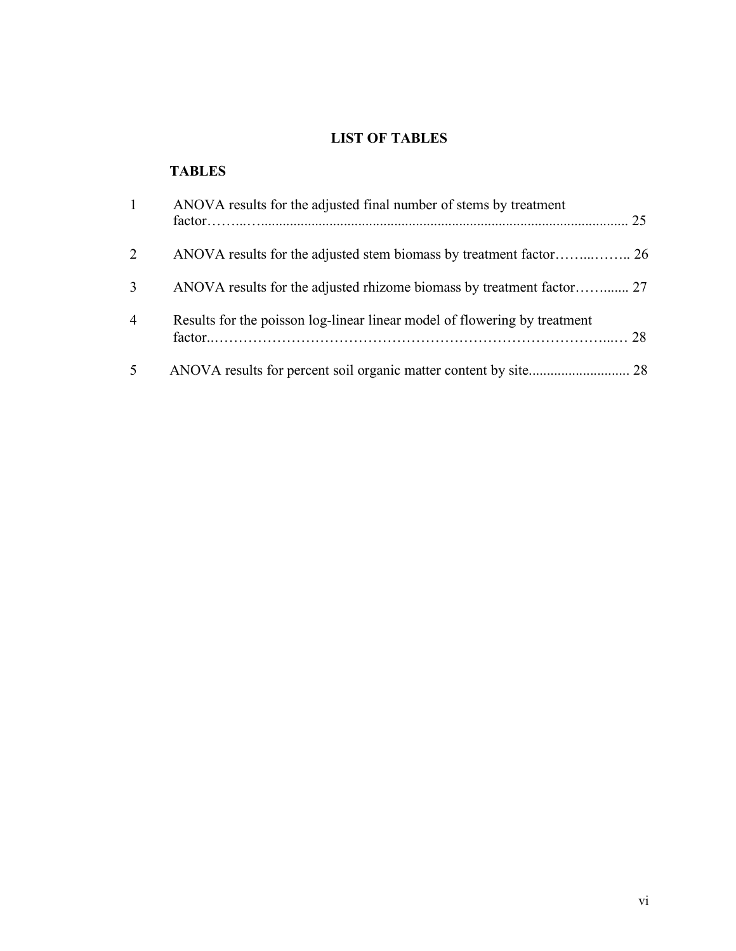## **LIST OF TABLES**

# **TABLES**

| $\mathbf{1}$   | ANOVA results for the adjusted final number of stems by treatment         | 25 |
|----------------|---------------------------------------------------------------------------|----|
| 2              |                                                                           |    |
| 3              | ANOVA results for the adjusted rhizome biomass by treatment factor 27     |    |
| $\overline{4}$ | Results for the poisson log-linear linear model of flowering by treatment |    |
| 5              |                                                                           |    |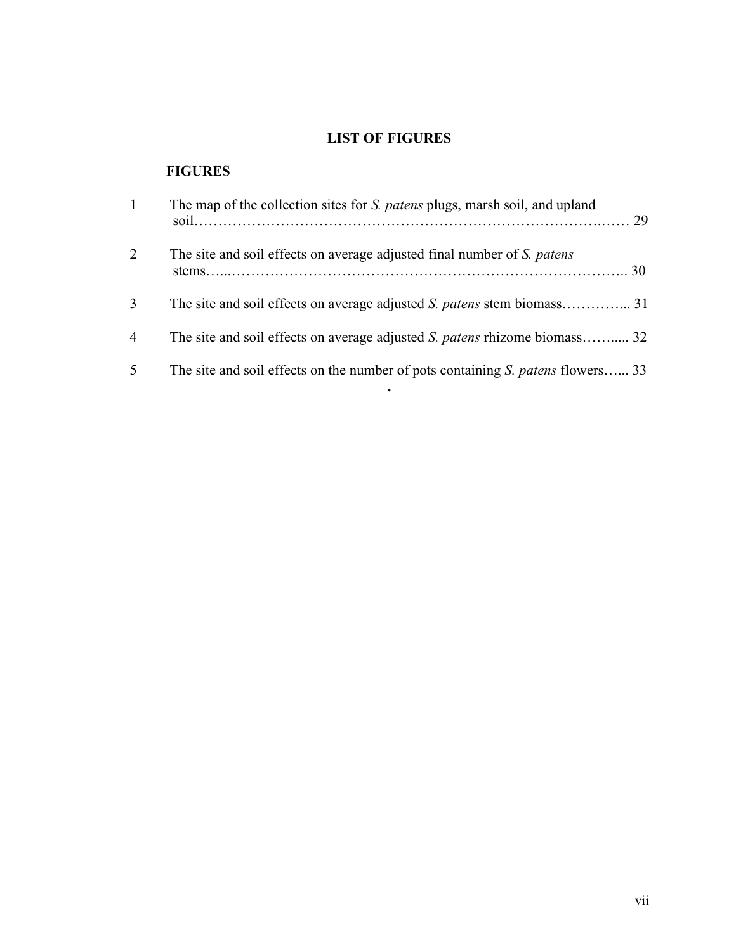## **LIST OF FIGURES**

# **FIGURES**

| $\mathbf{1}$   | The map of the collection sites for S. patens plugs, marsh soil, and upland            |  |
|----------------|----------------------------------------------------------------------------------------|--|
| 2              | The site and soil effects on average adjusted final number of S. patens                |  |
| 3              |                                                                                        |  |
| $\overline{4}$ | The site and soil effects on average adjusted S. patens rhizome biomass 32             |  |
| 5              | The site and soil effects on the number of pots containing <i>S. patens</i> flowers 33 |  |

**.**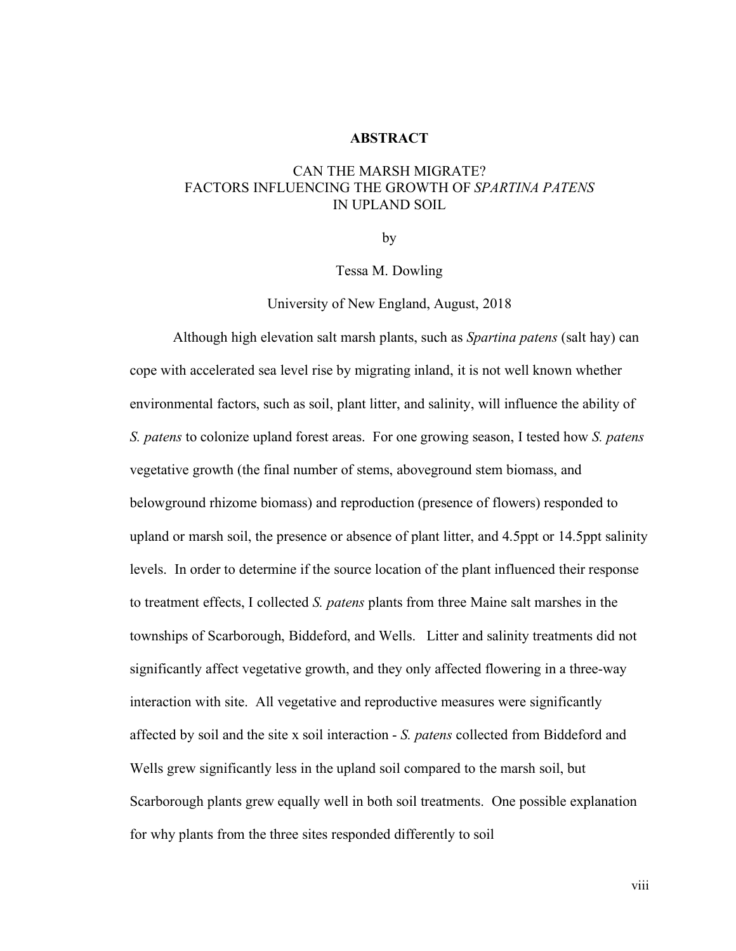#### **ABSTRACT**

## CAN THE MARSH MIGRATE? FACTORS INFLUENCING THE GROWTH OF *SPARTINA PATENS* IN UPLAND SOIL

by

Tessa M. Dowling

University of New England, August, 2018

Although high elevation salt marsh plants, such as *Spartina patens* (salt hay) can cope with accelerated sea level rise by migrating inland, it is not well known whether environmental factors, such as soil, plant litter, and salinity, will influence the ability of *S. patens* to colonize upland forest areas. For one growing season, I tested how *S. patens* vegetative growth (the final number of stems, aboveground stem biomass, and belowground rhizome biomass) and reproduction (presence of flowers) responded to upland or marsh soil, the presence or absence of plant litter, and 4.5ppt or 14.5ppt salinity levels. In order to determine if the source location of the plant influenced their response to treatment effects, I collected *S. patens* plants from three Maine salt marshes in the townships of Scarborough, Biddeford, and Wells. Litter and salinity treatments did not significantly affect vegetative growth, and they only affected flowering in a three-way interaction with site. All vegetative and reproductive measures were significantly affected by soil and the site x soil interaction - *S. patens* collected from Biddeford and Wells grew significantly less in the upland soil compared to the marsh soil, but Scarborough plants grew equally well in both soil treatments. One possible explanation for why plants from the three sites responded differently to soil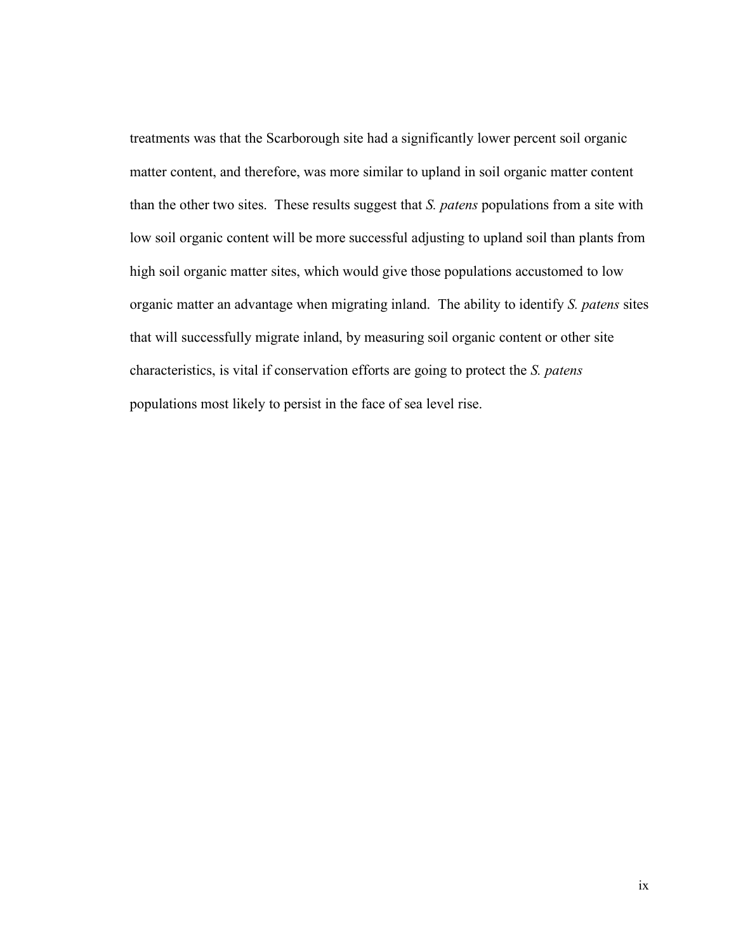treatments was that the Scarborough site had a significantly lower percent soil organic matter content, and therefore, was more similar to upland in soil organic matter content than the other two sites. These results suggest that *S. patens* populations from a site with low soil organic content will be more successful adjusting to upland soil than plants from high soil organic matter sites, which would give those populations accustomed to low organic matter an advantage when migrating inland. The ability to identify *S. patens* sites that will successfully migrate inland, by measuring soil organic content or other site characteristics, is vital if conservation efforts are going to protect the *S. patens* populations most likely to persist in the face of sea level rise.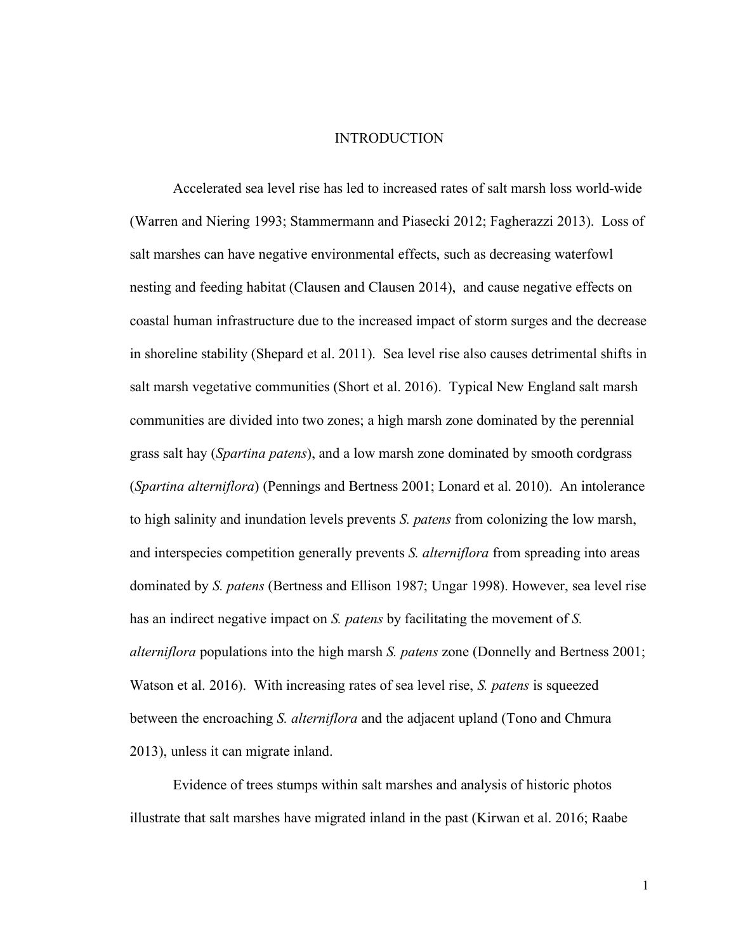#### INTRODUCTION

Accelerated sea level rise has led to increased rates of salt marsh loss world-wide (Warren and Niering 1993; Stammermann and Piasecki 2012; Fagherazzi 2013). Loss of salt marshes can have negative environmental effects, such as decreasing waterfowl nesting and feeding habitat (Clausen and Clausen 2014), and cause negative effects on coastal human infrastructure due to the increased impact of storm surges and the decrease in shoreline stability (Shepard et al. 2011). Sea level rise also causes detrimental shifts in salt marsh vegetative communities (Short et al. 2016). Typical New England salt marsh communities are divided into two zones; a high marsh zone dominated by the perennial grass salt hay (*Spartina patens*), and a low marsh zone dominated by smooth cordgrass (*Spartina alterniflora*) (Pennings and Bertness 2001; Lonard et al. 2010). An intolerance to high salinity and inundation levels prevents *S. patens* from colonizing the low marsh, and interspecies competition generally prevents *S. alterniflora* from spreading into areas dominated by *S. patens* (Bertness and Ellison 1987; Ungar 1998). However, sea level rise has an indirect negative impact on *S. patens* by facilitating the movement of *S. alterniflora* populations into the high marsh *S. patens* zone (Donnelly and Bertness 2001; Watson et al. 2016). With increasing rates of sea level rise, *S. patens* is squeezed between the encroaching *S. alterniflora* and the adjacent upland (Tono and Chmura 2013), unless it can migrate inland.

Evidence of trees stumps within salt marshes and analysis of historic photos illustrate that salt marshes have migrated inland in the past (Kirwan et al. 2016; Raabe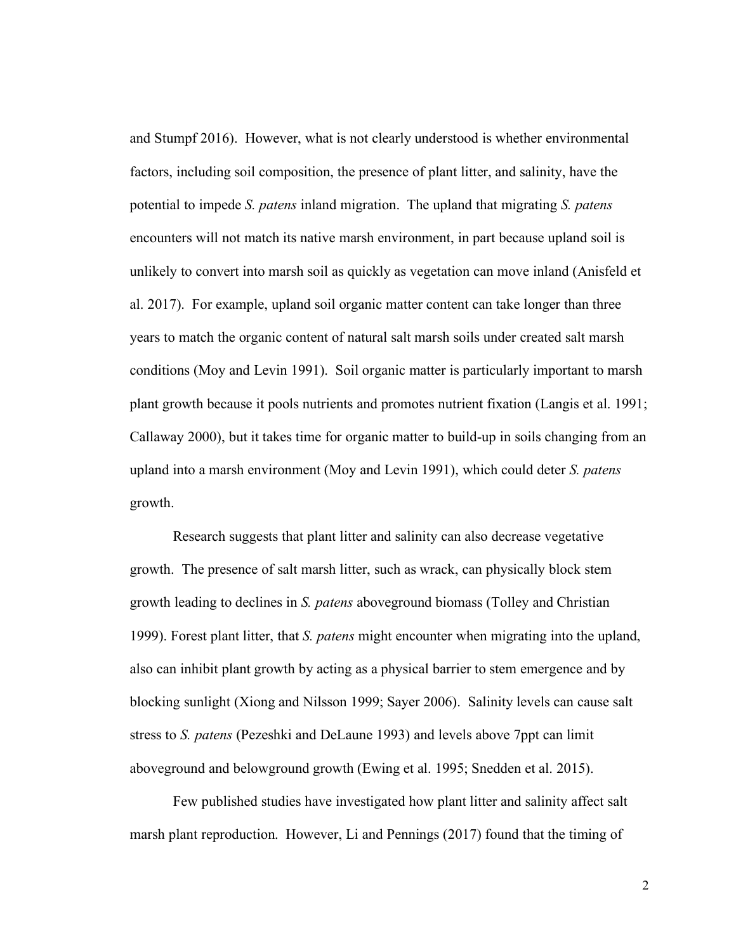and Stumpf 2016). However, what is not clearly understood is whether environmental factors, including soil composition, the presence of plant litter, and salinity, have the potential to impede *S. patens* inland migration. The upland that migrating *S. patens* encounters will not match its native marsh environment, in part because upland soil is unlikely to convert into marsh soil as quickly as vegetation can move inland (Anisfeld et al. 2017). For example, upland soil organic matter content can take longer than three years to match the organic content of natural salt marsh soils under created salt marsh conditions (Moy and Levin 1991). Soil organic matter is particularly important to marsh plant growth because it pools nutrients and promotes nutrient fixation (Langis et al. 1991; Callaway 2000), but it takes time for organic matter to build-up in soils changing from an upland into a marsh environment (Moy and Levin 1991), which could deter *S. patens* growth.

Research suggests that plant litter and salinity can also decrease vegetative growth. The presence of salt marsh litter, such as wrack, can physically block stem growth leading to declines in *S. patens* aboveground biomass (Tolley and Christian 1999). Forest plant litter, that *S. patens* might encounter when migrating into the upland, also can inhibit plant growth by acting as a physical barrier to stem emergence and by blocking sunlight (Xiong and Nilsson 1999; Sayer 2006). Salinity levels can cause salt stress to *S. patens* (Pezeshki and DeLaune 1993) and levels above 7ppt can limit aboveground and belowground growth (Ewing et al. 1995; Snedden et al. 2015).

Few published studies have investigated how plant litter and salinity affect salt marsh plant reproduction. However, Li and Pennings (2017) found that the timing of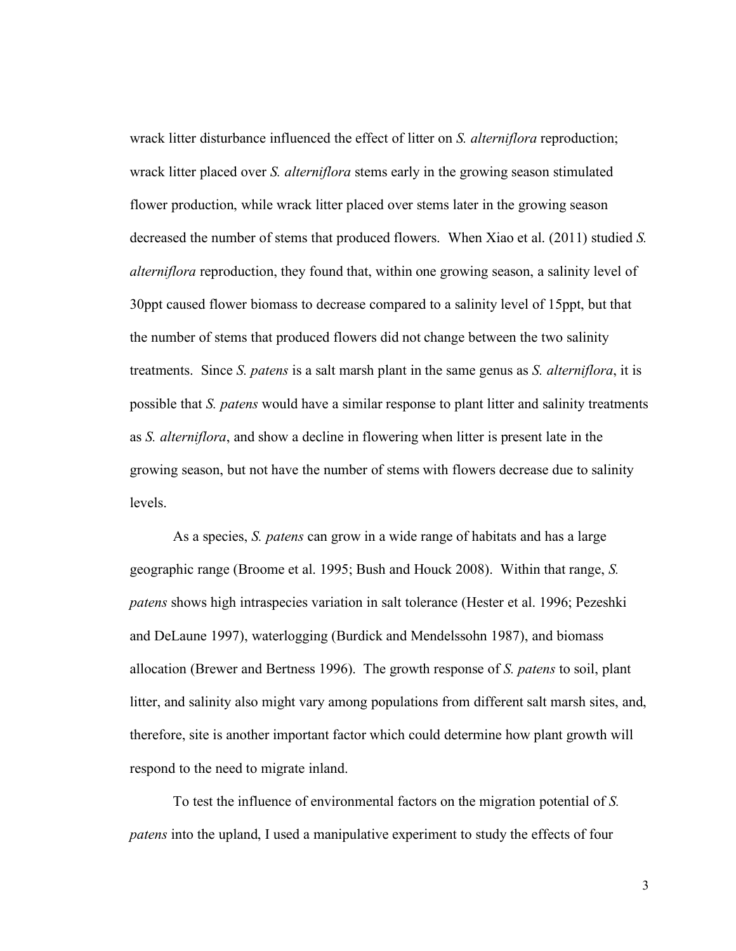wrack litter disturbance influenced the effect of litter on *S. alterniflora* reproduction; wrack litter placed over *S. alterniflora* stems early in the growing season stimulated flower production, while wrack litter placed over stems later in the growing season decreased the number of stems that produced flowers. When Xiao et al. (2011) studied *S. alterniflora* reproduction, they found that, within one growing season, a salinity level of 30ppt caused flower biomass to decrease compared to a salinity level of 15ppt, but that the number of stems that produced flowers did not change between the two salinity treatments. Since *S. patens* is a salt marsh plant in the same genus as *S. alterniflora*, it is possible that *S. patens* would have a similar response to plant litter and salinity treatments as *S. alterniflora*, and show a decline in flowering when litter is present late in the growing season, but not have the number of stems with flowers decrease due to salinity levels.

As a species, *S. patens* can grow in a wide range of habitats and has a large geographic range (Broome et al. 1995; Bush and Houck 2008). Within that range, *S. patens* shows high intraspecies variation in salt tolerance (Hester et al. 1996; Pezeshki and DeLaune 1997), waterlogging (Burdick and Mendelssohn 1987), and biomass allocation (Brewer and Bertness 1996). The growth response of *S. patens* to soil, plant litter, and salinity also might vary among populations from different salt marsh sites, and, therefore, site is another important factor which could determine how plant growth will respond to the need to migrate inland.

To test the influence of environmental factors on the migration potential of *S. patens* into the upland, I used a manipulative experiment to study the effects of four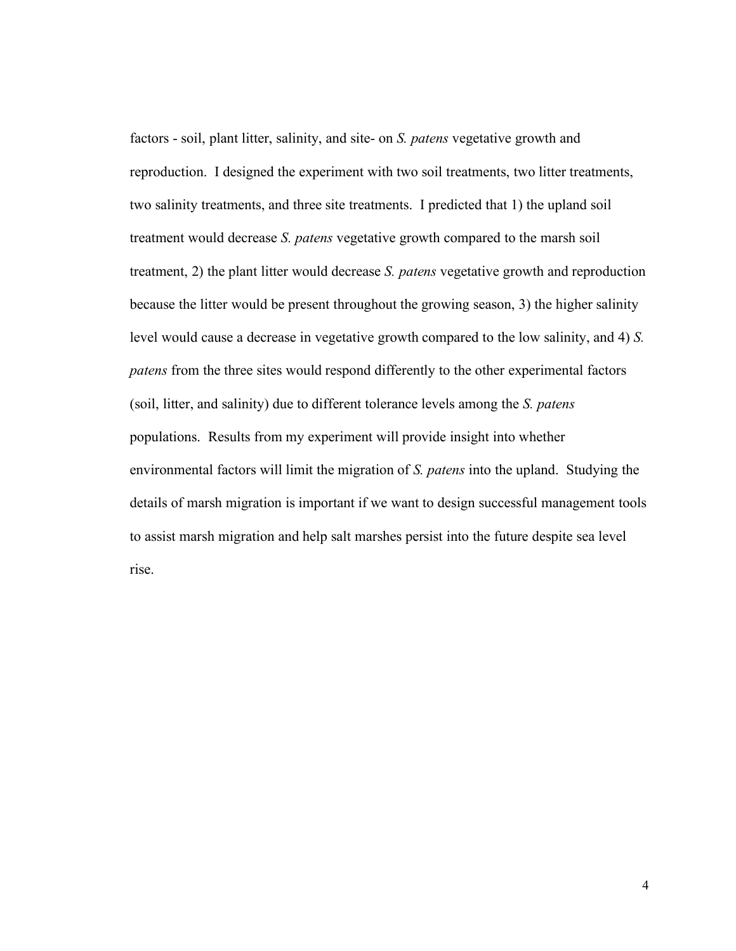factors - soil, plant litter, salinity, and site- on *S. patens* vegetative growth and reproduction. I designed the experiment with two soil treatments, two litter treatments, two salinity treatments, and three site treatments. I predicted that 1) the upland soil treatment would decrease *S. patens* vegetative growth compared to the marsh soil treatment, 2) the plant litter would decrease *S. patens* vegetative growth and reproduction because the litter would be present throughout the growing season, 3) the higher salinity level would cause a decrease in vegetative growth compared to the low salinity, and 4) *S. patens* from the three sites would respond differently to the other experimental factors (soil, litter, and salinity) due to different tolerance levels among the *S. patens* populations. Results from my experiment will provide insight into whether environmental factors will limit the migration of *S. patens* into the upland. Studying the details of marsh migration is important if we want to design successful management tools to assist marsh migration and help salt marshes persist into the future despite sea level rise.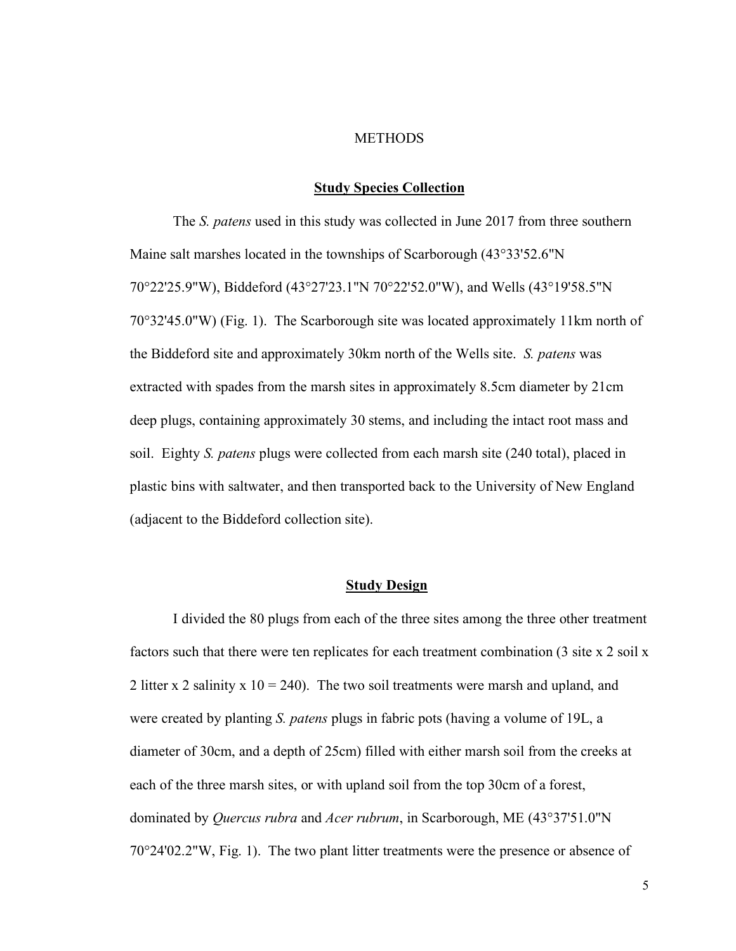#### METHODS

#### **Study Species Collection**

The *S. patens* used in this study was collected in June 2017 from three southern Maine salt marshes located in the townships of Scarborough (43°33'52.6"N 70°22'25.9"W), Biddeford (43°27'23.1"N 70°22'52.0"W), and Wells (43°19'58.5"N 70°32'45.0"W) (Fig. 1). The Scarborough site was located approximately 11km north of the Biddeford site and approximately 30km north of the Wells site. *S. patens* was extracted with spades from the marsh sites in approximately 8.5cm diameter by 21cm deep plugs, containing approximately 30 stems, and including the intact root mass and soil. Eighty *S. patens* plugs were collected from each marsh site (240 total), placed in plastic bins with saltwater, and then transported back to the University of New England (adjacent to the Biddeford collection site).

#### **Study Design**

I divided the 80 plugs from each of the three sites among the three other treatment factors such that there were ten replicates for each treatment combination (3 site x 2 soil x 2 litter x 2 salinity x  $10 = 240$ . The two soil treatments were marsh and upland, and were created by planting *S. patens* plugs in fabric pots (having a volume of 19L, a diameter of 30cm, and a depth of 25cm) filled with either marsh soil from the creeks at each of the three marsh sites, or with upland soil from the top 30cm of a forest, dominated by *Quercus rubra* and *Acer rubrum*, in Scarborough, ME (43°37'51.0"N 70°24'02.2"W, Fig. 1). The two plant litter treatments were the presence or absence of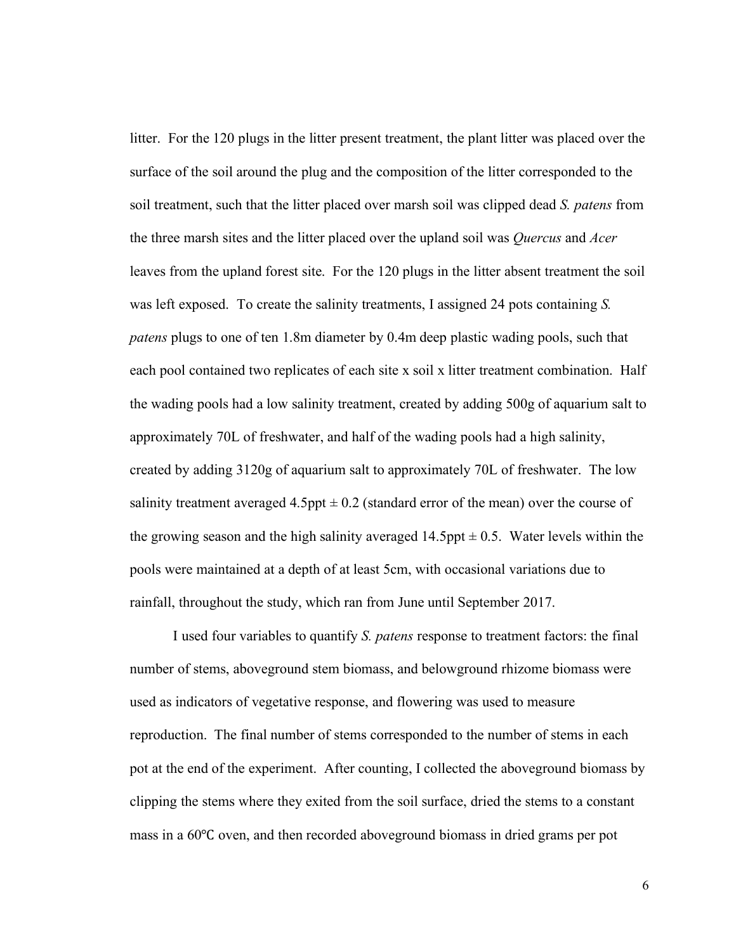litter. For the 120 plugs in the litter present treatment, the plant litter was placed over the surface of the soil around the plug and the composition of the litter corresponded to the soil treatment, such that the litter placed over marsh soil was clipped dead *S. patens* from the three marsh sites and the litter placed over the upland soil was *Quercus* and *Acer* leaves from the upland forest site. For the 120 plugs in the litter absent treatment the soil was left exposed. To create the salinity treatments, I assigned 24 pots containing *S. patens* plugs to one of ten 1.8m diameter by 0.4m deep plastic wading pools, such that each pool contained two replicates of each site x soil x litter treatment combination. Half the wading pools had a low salinity treatment, created by adding 500g of aquarium salt to approximately 70L of freshwater, and half of the wading pools had a high salinity, created by adding 3120g of aquarium salt to approximately 70L of freshwater. The low salinity treatment averaged  $4.5$ ppt  $\pm 0.2$  (standard error of the mean) over the course of the growing season and the high salinity averaged 14.5ppt  $\pm$  0.5. Water levels within the pools were maintained at a depth of at least 5cm, with occasional variations due to rainfall, throughout the study, which ran from June until September 2017.

I used four variables to quantify *S. patens* response to treatment factors: the final number of stems, aboveground stem biomass, and belowground rhizome biomass were used as indicators of vegetative response, and flowering was used to measure reproduction. The final number of stems corresponded to the number of stems in each pot at the end of the experiment. After counting, I collected the aboveground biomass by clipping the stems where they exited from the soil surface, dried the stems to a constant mass in a 60℃ oven, and then recorded aboveground biomass in dried grams per pot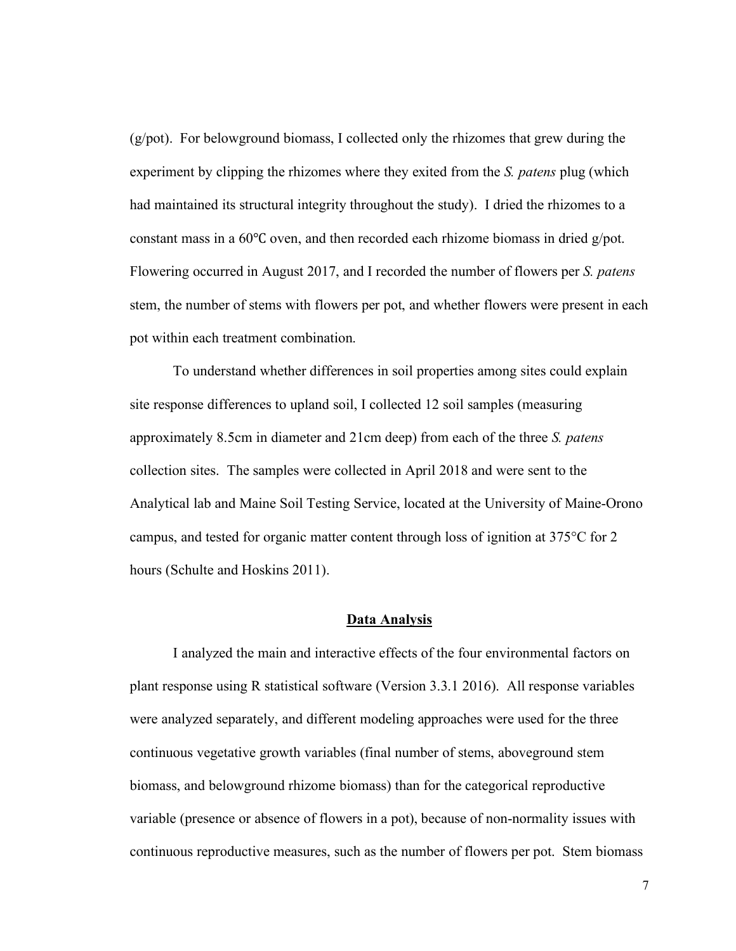(g/pot). For belowground biomass, I collected only the rhizomes that grew during the experiment by clipping the rhizomes where they exited from the *S. patens* plug (which had maintained its structural integrity throughout the study). I dried the rhizomes to a constant mass in a 60℃ oven, and then recorded each rhizome biomass in dried g/pot. Flowering occurred in August 2017, and I recorded the number of flowers per *S. patens* stem, the number of stems with flowers per pot, and whether flowers were present in each pot within each treatment combination.

To understand whether differences in soil properties among sites could explain site response differences to upland soil, I collected 12 soil samples (measuring approximately 8.5cm in diameter and 21cm deep) from each of the three *S. patens*  collection sites. The samples were collected in April 2018 and were sent to the Analytical lab and Maine Soil Testing Service, located at the University of Maine-Orono campus, and tested for organic matter content through loss of ignition at 375°C for 2 hours (Schulte and Hoskins 2011).

#### **Data Analysis**

I analyzed the main and interactive effects of the four environmental factors on plant response using R statistical software (Version 3.3.1 2016). All response variables were analyzed separately, and different modeling approaches were used for the three continuous vegetative growth variables (final number of stems, aboveground stem biomass, and belowground rhizome biomass) than for the categorical reproductive variable (presence or absence of flowers in a pot), because of non-normality issues with continuous reproductive measures, such as the number of flowers per pot. Stem biomass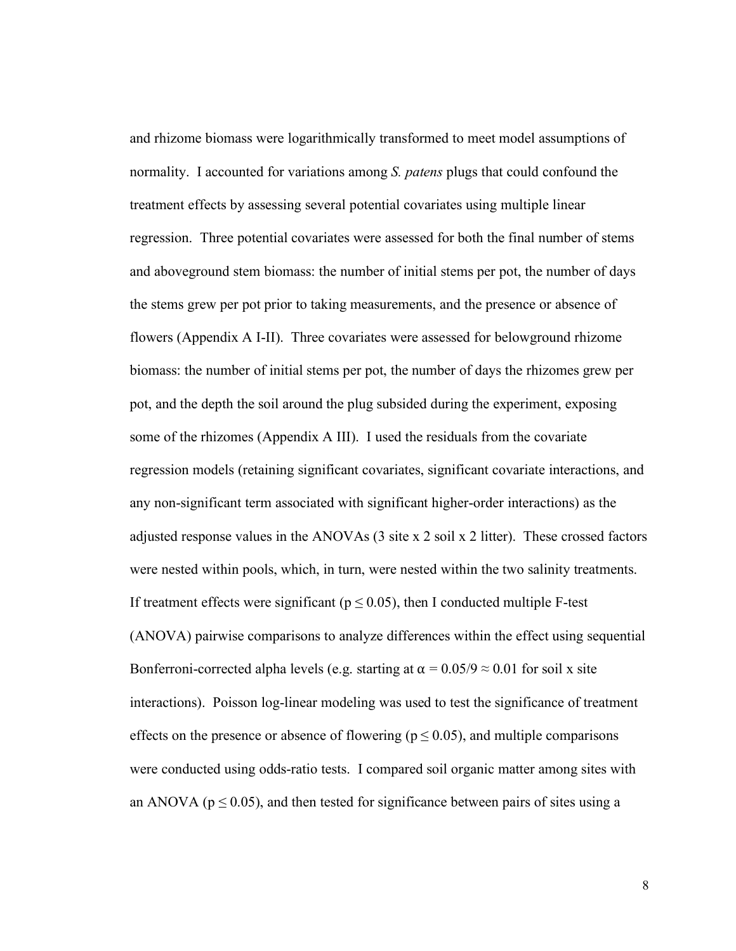and rhizome biomass were logarithmically transformed to meet model assumptions of normality. I accounted for variations among *S. patens* plugs that could confound the treatment effects by assessing several potential covariates using multiple linear regression. Three potential covariates were assessed for both the final number of stems and aboveground stem biomass: the number of initial stems per pot, the number of days the stems grew per pot prior to taking measurements, and the presence or absence of flowers (Appendix A I-II). Three covariates were assessed for belowground rhizome biomass: the number of initial stems per pot, the number of days the rhizomes grew per pot, and the depth the soil around the plug subsided during the experiment, exposing some of the rhizomes (Appendix A III). I used the residuals from the covariate regression models (retaining significant covariates, significant covariate interactions, and any non-significant term associated with significant higher-order interactions) as the adjusted response values in the ANOVAs (3 site x 2 soil x 2 litter). These crossed factors were nested within pools, which, in turn, were nested within the two salinity treatments. If treatment effects were significant ( $p \le 0.05$ ), then I conducted multiple F-test (ANOVA) pairwise comparisons to analyze differences within the effect using sequential Bonferroni-corrected alpha levels (e.g. starting at  $\alpha = 0.05/9 \approx 0.01$  for soil x site interactions). Poisson log-linear modeling was used to test the significance of treatment effects on the presence or absence of flowering ( $p \le 0.05$ ), and multiple comparisons were conducted using odds-ratio tests. I compared soil organic matter among sites with an ANOVA ( $p \le 0.05$ ), and then tested for significance between pairs of sites using a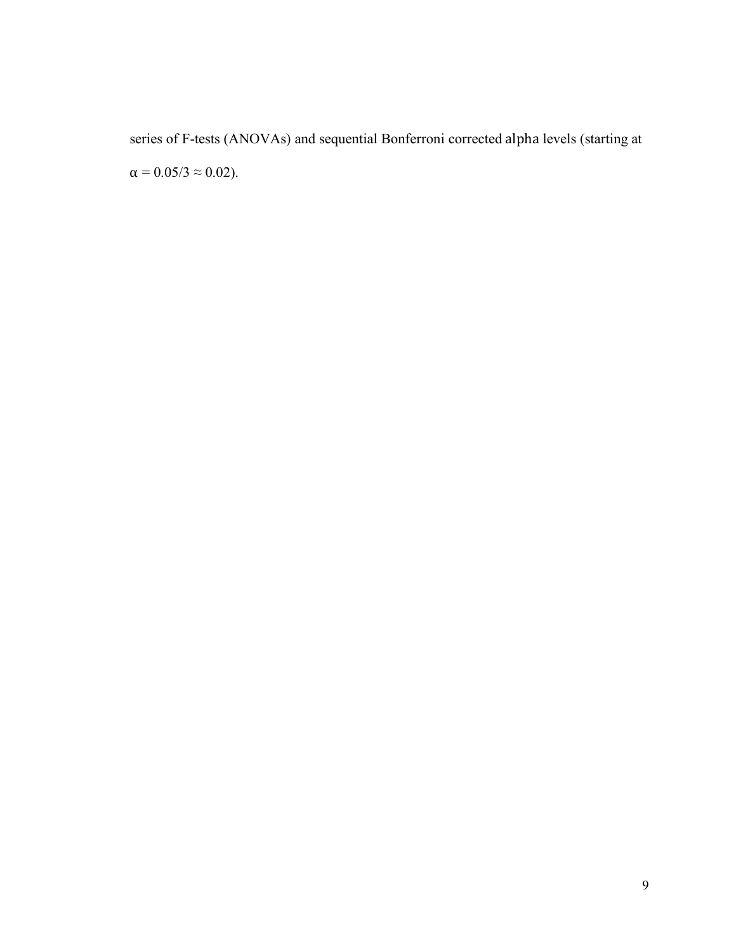series of F-tests (ANOVAs) and sequential Bonferroni corrected alpha levels (starting at  $\alpha = 0.05/3 \approx 0.02$ ).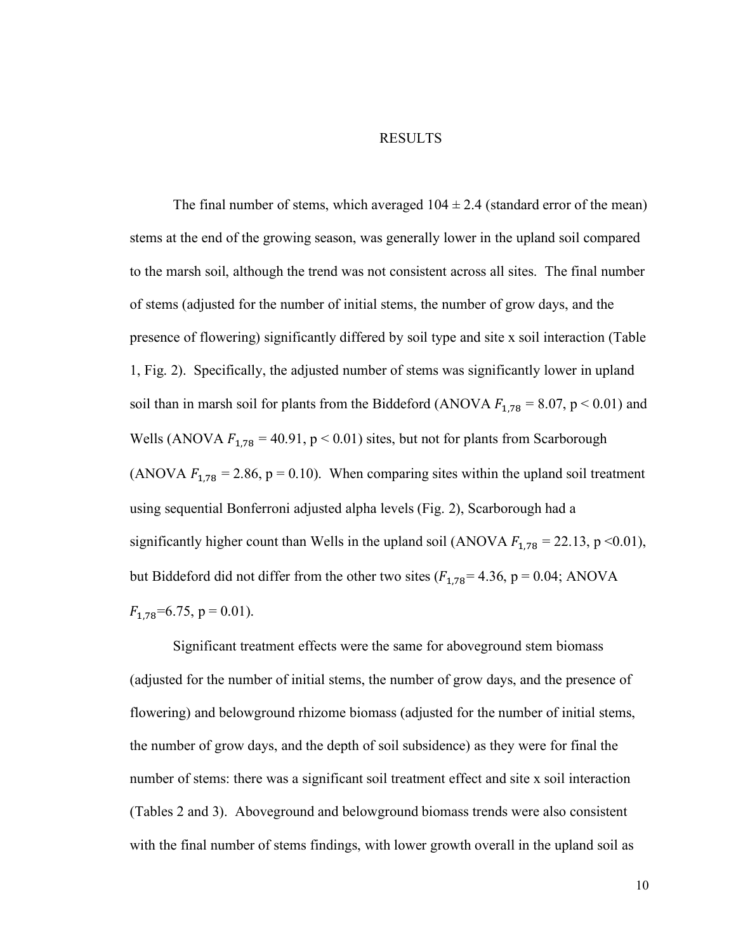#### RESULTS

The final number of stems, which averaged  $104 \pm 2.4$  (standard error of the mean) stems at the end of the growing season, was generally lower in the upland soil compared to the marsh soil, although the trend was not consistent across all sites. The final number of stems (adjusted for the number of initial stems, the number of grow days, and the presence of flowering) significantly differed by soil type and site x soil interaction (Table 1, Fig. 2). Specifically, the adjusted number of stems was significantly lower in upland soil than in marsh soil for plants from the Biddeford (ANOVA  $F_{1,78} = 8.07$ , p < 0.01) and Wells (ANOVA  $F_{1,78} = 40.91$ , p < 0.01) sites, but not for plants from Scarborough (ANOVA  $F_{1,78} = 2.86$ , p = 0.10). When comparing sites within the upland soil treatment using sequential Bonferroni adjusted alpha levels (Fig. 2), Scarborough had a significantly higher count than Wells in the upland soil (ANOVA  $F_{1,78} = 22.13$ , p <0.01), but Biddeford did not differ from the other two sites  $(F_{1,78} = 4.36, p = 0.04; ANOVA$  $F_{1.78}$ =6.75, p = 0.01).

Significant treatment effects were the same for aboveground stem biomass (adjusted for the number of initial stems, the number of grow days, and the presence of flowering) and belowground rhizome biomass (adjusted for the number of initial stems, the number of grow days, and the depth of soil subsidence) as they were for final the number of stems: there was a significant soil treatment effect and site x soil interaction (Tables 2 and 3). Aboveground and belowground biomass trends were also consistent with the final number of stems findings, with lower growth overall in the upland soil as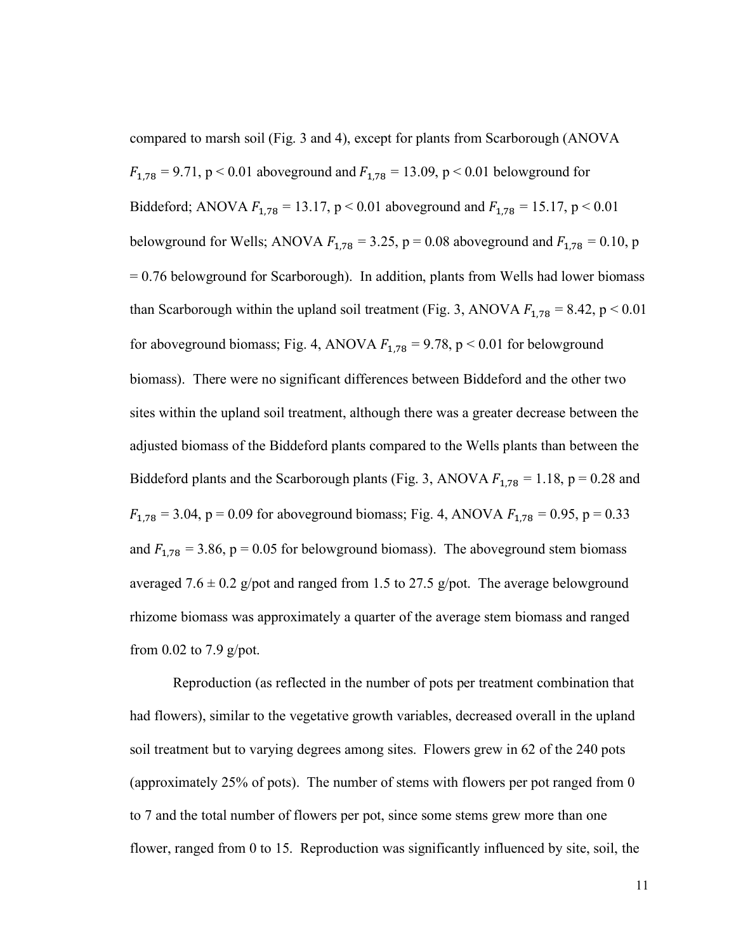compared to marsh soil (Fig. 3 and 4), except for plants from Scarborough (ANOVA  $F_{1.78} = 9.71$ , p < 0.01 aboveground and  $F_{1.78} = 13.09$ , p < 0.01 belowground for Biddeford; ANOVA  $F_{1,78} = 13.17$ , p < 0.01 aboveground and  $F_{1,78} = 15.17$ , p < 0.01 belowground for Wells; ANOVA  $F_{1,78} = 3.25$ , p = 0.08 aboveground and  $F_{1,78} = 0.10$ , p = 0.76 belowground for Scarborough). In addition, plants from Wells had lower biomass than Scarborough within the upland soil treatment (Fig. 3, ANOVA  $F_{1,78} = 8.42$ , p < 0.01 for aboveground biomass; Fig. 4, ANOVA  $F_{1,78} = 9.78$ , p < 0.01 for belowground biomass). There were no significant differences between Biddeford and the other two sites within the upland soil treatment, although there was a greater decrease between the adjusted biomass of the Biddeford plants compared to the Wells plants than between the Biddeford plants and the Scarborough plants (Fig. 3, ANOVA  $F_{1,78} = 1.18$ , p = 0.28 and  $F_{1,78} = 3.04$ , p = 0.09 for aboveground biomass; Fig. 4, ANOVA  $F_{1,78} = 0.95$ , p = 0.33 and  $F_{1,78} = 3.86$ , p = 0.05 for belowground biomass). The aboveground stem biomass averaged 7.6  $\pm$  0.2 g/pot and ranged from 1.5 to 27.5 g/pot. The average belowground rhizome biomass was approximately a quarter of the average stem biomass and ranged from 0.02 to 7.9 g/pot.

Reproduction (as reflected in the number of pots per treatment combination that had flowers), similar to the vegetative growth variables, decreased overall in the upland soil treatment but to varying degrees among sites. Flowers grew in 62 of the 240 pots (approximately 25% of pots). The number of stems with flowers per pot ranged from 0 to 7 and the total number of flowers per pot, since some stems grew more than one flower, ranged from 0 to 15. Reproduction was significantly influenced by site, soil, the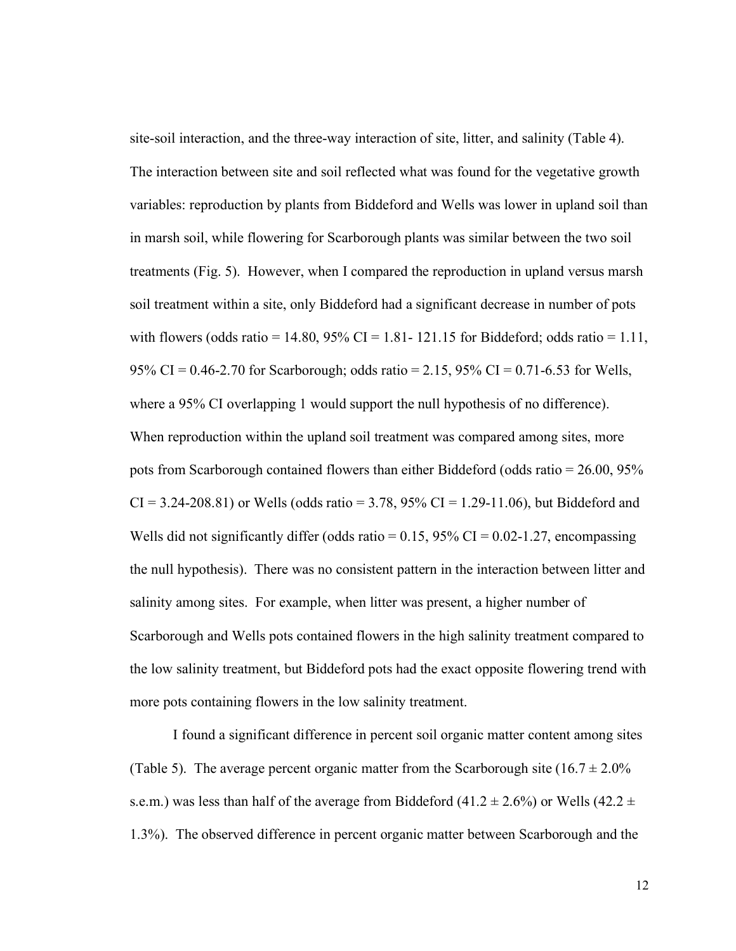site-soil interaction, and the three-way interaction of site, litter, and salinity (Table 4). The interaction between site and soil reflected what was found for the vegetative growth variables: reproduction by plants from Biddeford and Wells was lower in upland soil than in marsh soil, while flowering for Scarborough plants was similar between the two soil treatments (Fig. 5). However, when I compared the reproduction in upland versus marsh soil treatment within a site, only Biddeford had a significant decrease in number of pots with flowers (odds ratio = 14.80,  $95\%$  CI = 1.81- 121.15 for Biddeford; odds ratio = 1.11, 95% CI =  $0.46$ -2.70 for Scarborough; odds ratio = 2.15, 95% CI = 0.71-6.53 for Wells, where a 95% CI overlapping 1 would support the null hypothesis of no difference). When reproduction within the upland soil treatment was compared among sites, more pots from Scarborough contained flowers than either Biddeford (odds ratio = 26.00, 95%  $CI = 3.24 - 208.81$  or Wells (odds ratio = 3.78, 95%  $CI = 1.29 - 11.06$ ), but Biddeford and Wells did not significantly differ (odds ratio =  $0.15$ , 95% CI =  $0.02$ -1.27, encompassing the null hypothesis). There was no consistent pattern in the interaction between litter and salinity among sites. For example, when litter was present, a higher number of Scarborough and Wells pots contained flowers in the high salinity treatment compared to the low salinity treatment, but Biddeford pots had the exact opposite flowering trend with more pots containing flowers in the low salinity treatment.

I found a significant difference in percent soil organic matter content among sites (Table 5). The average percent organic matter from the Scarborough site  $(16.7 \pm 2.0\%)$ s.e.m.) was less than half of the average from Biddeford (41.2  $\pm$  2.6%) or Wells (42.2  $\pm$ 1.3%). The observed difference in percent organic matter between Scarborough and the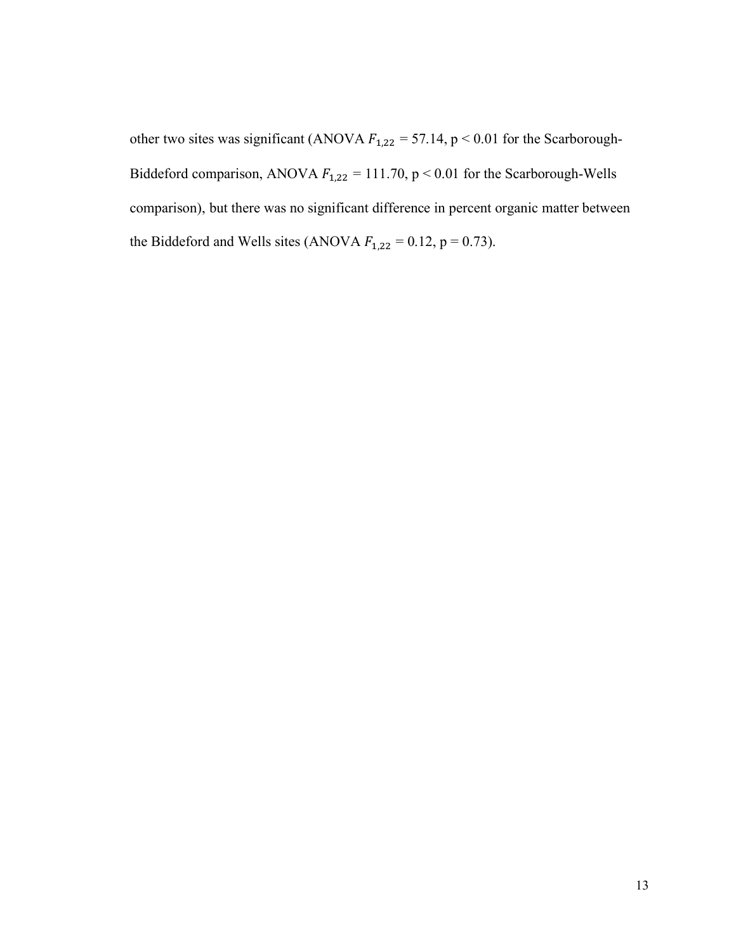other two sites was significant (ANOVA  $F_{1,22} = 57.14$ , p < 0.01 for the Scarborough-Biddeford comparison, ANOVA  $F_{1,22} = 111.70$ , p < 0.01 for the Scarborough-Wells comparison), but there was no significant difference in percent organic matter between the Biddeford and Wells sites (ANOVA  $F_{1,22} = 0.12$ , p = 0.73).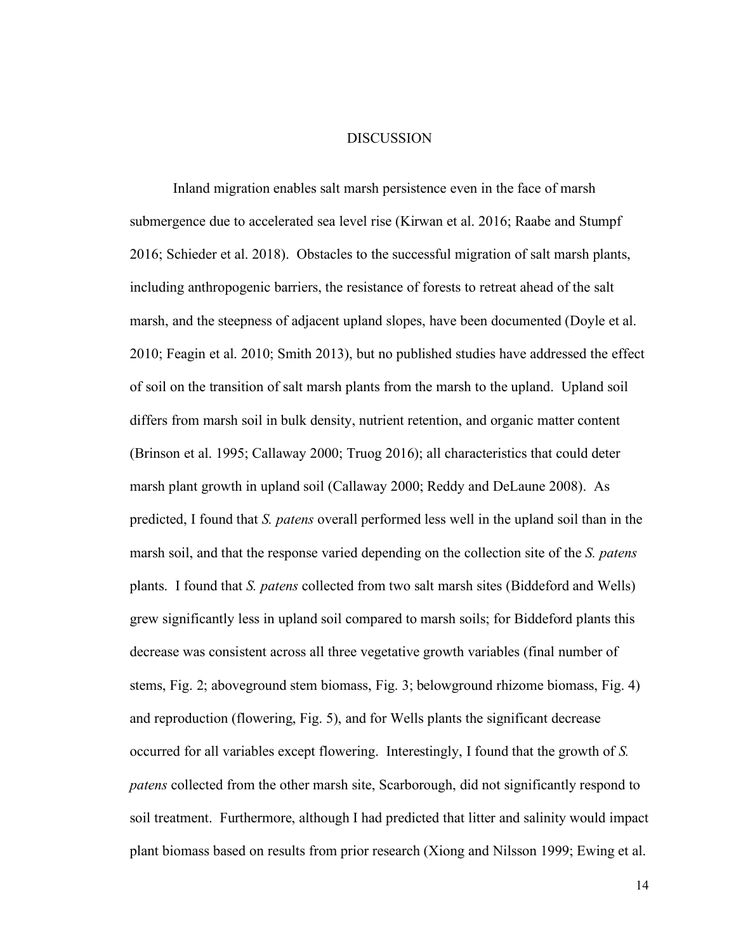#### DISCUSSION

Inland migration enables salt marsh persistence even in the face of marsh submergence due to accelerated sea level rise (Kirwan et al. 2016; Raabe and Stumpf 2016; Schieder et al. 2018). Obstacles to the successful migration of salt marsh plants, including anthropogenic barriers, the resistance of forests to retreat ahead of the salt marsh, and the steepness of adjacent upland slopes, have been documented (Doyle et al. 2010; Feagin et al. 2010; Smith 2013), but no published studies have addressed the effect of soil on the transition of salt marsh plants from the marsh to the upland. Upland soil differs from marsh soil in bulk density, nutrient retention, and organic matter content (Brinson et al. 1995; Callaway 2000; Truog 2016); all characteristics that could deter marsh plant growth in upland soil (Callaway 2000; Reddy and DeLaune 2008). As predicted, I found that *S. patens* overall performed less well in the upland soil than in the marsh soil, and that the response varied depending on the collection site of the *S. patens*  plants. I found that *S. patens* collected from two salt marsh sites (Biddeford and Wells) grew significantly less in upland soil compared to marsh soils; for Biddeford plants this decrease was consistent across all three vegetative growth variables (final number of stems, Fig. 2; aboveground stem biomass, Fig. 3; belowground rhizome biomass, Fig. 4) and reproduction (flowering, Fig. 5), and for Wells plants the significant decrease occurred for all variables except flowering. Interestingly, I found that the growth of *S. patens* collected from the other marsh site, Scarborough, did not significantly respond to soil treatment. Furthermore, although I had predicted that litter and salinity would impact plant biomass based on results from prior research (Xiong and Nilsson 1999; Ewing et al.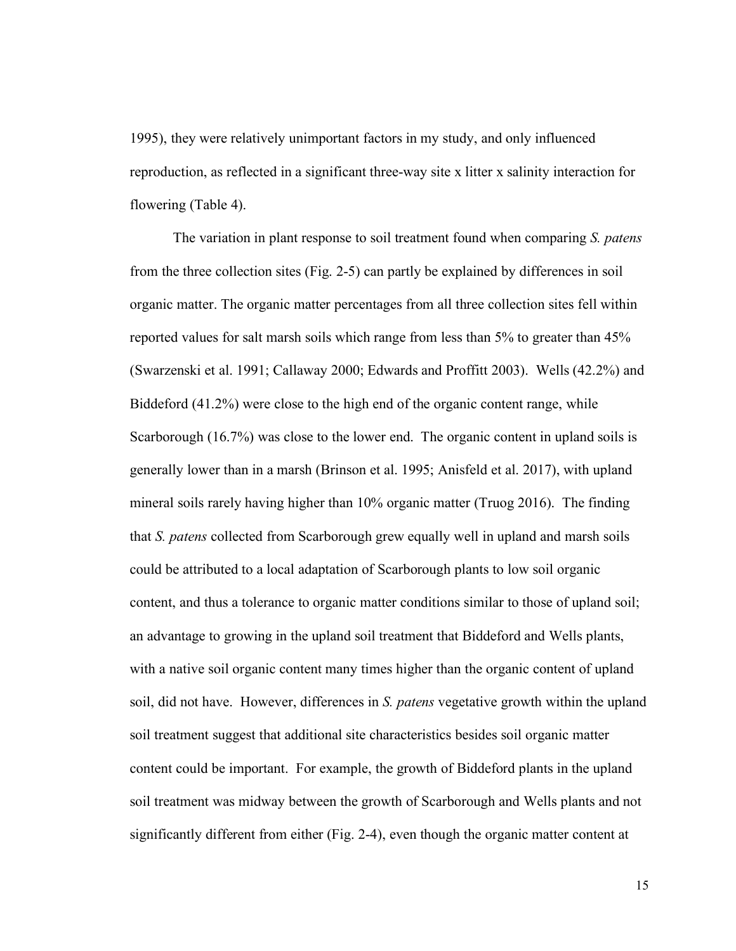1995), they were relatively unimportant factors in my study, and only influenced reproduction, as reflected in a significant three-way site x litter x salinity interaction for flowering (Table 4).

The variation in plant response to soil treatment found when comparing *S. patens* from the three collection sites (Fig. 2-5) can partly be explained by differences in soil organic matter. The organic matter percentages from all three collection sites fell within reported values for salt marsh soils which range from less than 5% to greater than 45% (Swarzenski et al. 1991; Callaway 2000; Edwards and Proffitt 2003). Wells (42.2%) and Biddeford (41.2%) were close to the high end of the organic content range, while Scarborough (16.7%) was close to the lower end. The organic content in upland soils is generally lower than in a marsh (Brinson et al. 1995; Anisfeld et al. 2017), with upland mineral soils rarely having higher than 10% organic matter (Truog 2016). The finding that *S. patens* collected from Scarborough grew equally well in upland and marsh soils could be attributed to a local adaptation of Scarborough plants to low soil organic content, and thus a tolerance to organic matter conditions similar to those of upland soil; an advantage to growing in the upland soil treatment that Biddeford and Wells plants, with a native soil organic content many times higher than the organic content of upland soil, did not have. However, differences in *S. patens* vegetative growth within the upland soil treatment suggest that additional site characteristics besides soil organic matter content could be important. For example, the growth of Biddeford plants in the upland soil treatment was midway between the growth of Scarborough and Wells plants and not significantly different from either (Fig. 2-4), even though the organic matter content at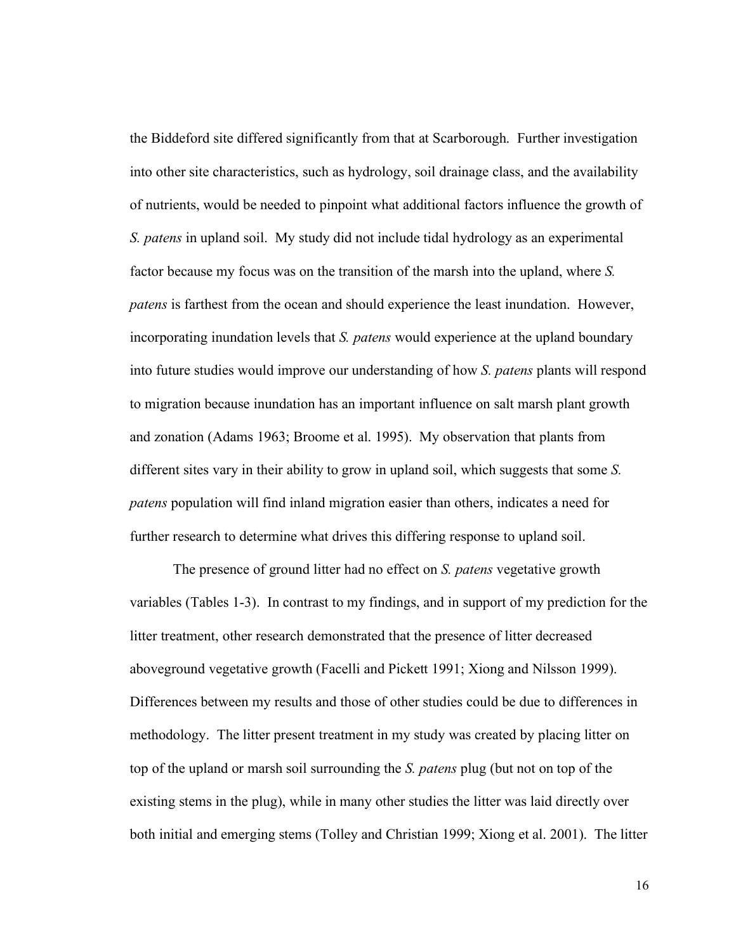the Biddeford site differed significantly from that at Scarborough. Further investigation into other site characteristics, such as hydrology, soil drainage class, and the availability of nutrients, would be needed to pinpoint what additional factors influence the growth of *S. patens* in upland soil. My study did not include tidal hydrology as an experimental factor because my focus was on the transition of the marsh into the upland, where *S. patens* is farthest from the ocean and should experience the least inundation. However, incorporating inundation levels that *S. patens* would experience at the upland boundary into future studies would improve our understanding of how *S. patens* plants will respond to migration because inundation has an important influence on salt marsh plant growth and zonation (Adams 1963; Broome et al. 1995). My observation that plants from different sites vary in their ability to grow in upland soil, which suggests that some *S. patens* population will find inland migration easier than others, indicates a need for further research to determine what drives this differing response to upland soil.

The presence of ground litter had no effect on *S. patens* vegetative growth variables (Tables 1-3). In contrast to my findings, and in support of my prediction for the litter treatment, other research demonstrated that the presence of litter decreased aboveground vegetative growth (Facelli and Pickett 1991; Xiong and Nilsson 1999). Differences between my results and those of other studies could be due to differences in methodology. The litter present treatment in my study was created by placing litter on top of the upland or marsh soil surrounding the *S. patens* plug (but not on top of the existing stems in the plug), while in many other studies the litter was laid directly over both initial and emerging stems (Tolley and Christian 1999; Xiong et al. 2001). The litter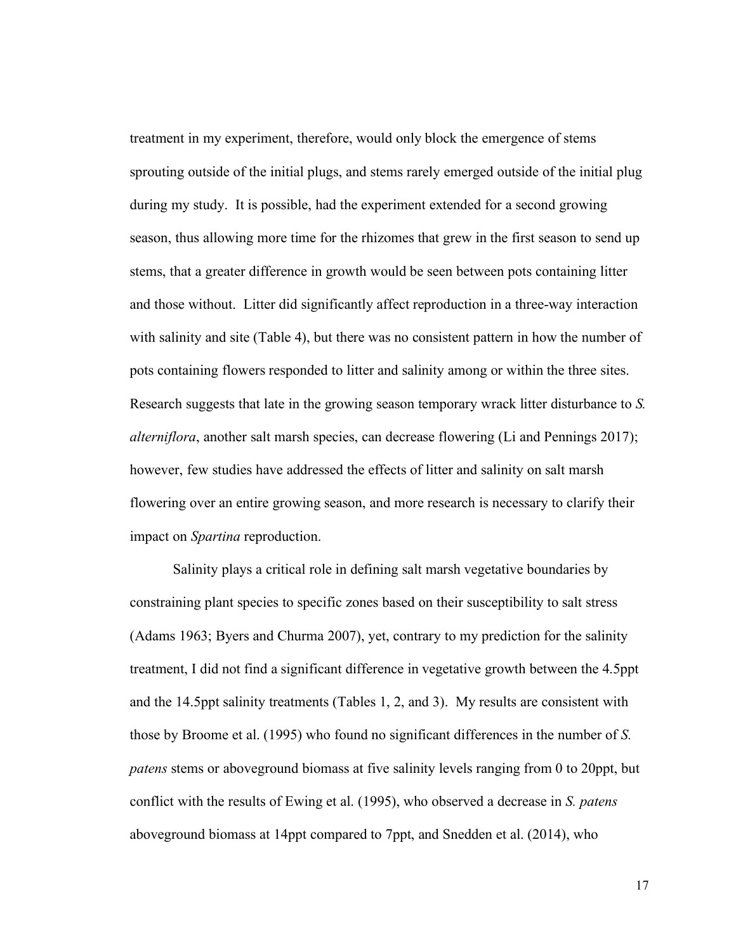treatment in my experiment, therefore, would only block the emergence of stems sprouting outside of the initial plugs, and stems rarely emerged outside of the initial plug during my study. It is possible, had the experiment extended for a second growing season, thus allowing more time for the rhizomes that grew in the first season to send up stems, that a greater difference in growth would be seen between pots containing litter and those without. Litter did significantly affect reproduction in a three-way interaction with salinity and site (Table 4), but there was no consistent pattern in how the number of pots containing flowers responded to litter and salinity among or within the three sites. Research suggests that late in the growing season temporary wrack litter disturbance to *S. alterniflora*, another salt marsh species, can decrease flowering (Li and Pennings 2017); however, few studies have addressed the effects of litter and salinity on salt marsh flowering over an entire growing season, and more research is necessary to clarify their impact on *Spartina* reproduction.

Salinity plays a critical role in defining salt marsh vegetative boundaries by constraining plant species to specific zones based on their susceptibility to salt stress (Adams 1963; Byers and Churma 2007), yet, contrary to my prediction for the salinity treatment, I did not find a significant difference in vegetative growth between the 4.5ppt and the 14.5ppt salinity treatments (Tables 1, 2, and 3). My results are consistent with those by Broome et al. (1995) who found no significant differences in the number of *S. patens* stems or aboveground biomass at five salinity levels ranging from 0 to 20ppt, but conflict with the results of Ewing et al. (1995), who observed a decrease in *S. patens*  aboveground biomass at 14ppt compared to 7ppt, and Snedden et al. (2014), who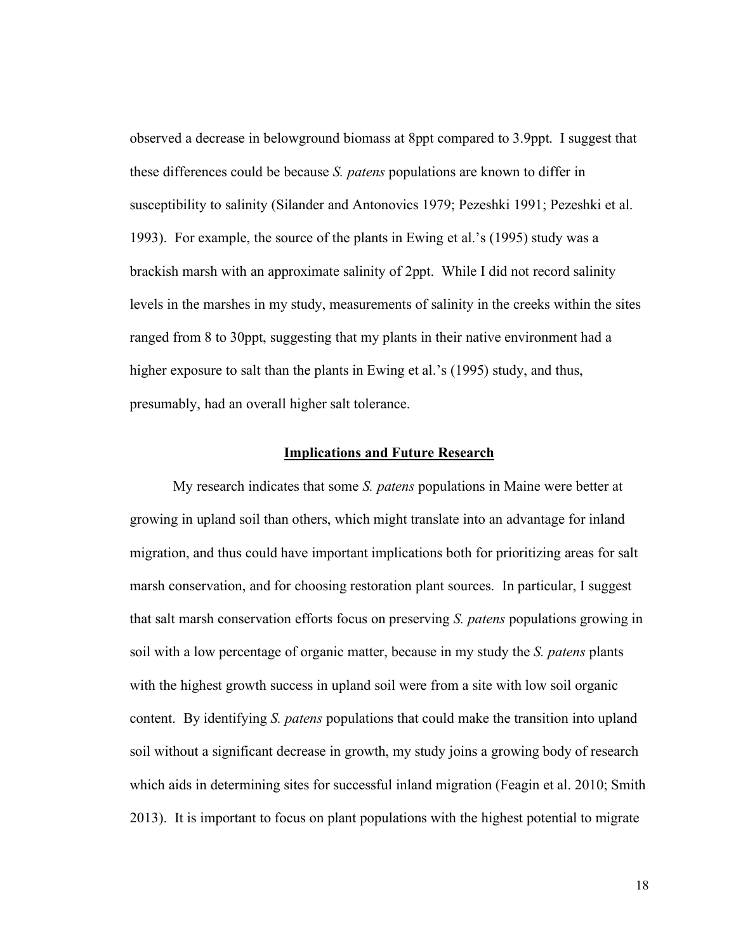observed a decrease in belowground biomass at 8ppt compared to 3.9ppt. I suggest that these differences could be because *S. patens* populations are known to differ in susceptibility to salinity (Silander and Antonovics 1979; Pezeshki 1991; Pezeshki et al. 1993). For example, the source of the plants in Ewing et al.'s (1995) study was a brackish marsh with an approximate salinity of 2ppt. While I did not record salinity levels in the marshes in my study, measurements of salinity in the creeks within the sites ranged from 8 to 30ppt, suggesting that my plants in their native environment had a higher exposure to salt than the plants in Ewing et al.'s (1995) study, and thus, presumably, had an overall higher salt tolerance.

#### **Implications and Future Research**

My research indicates that some *S. patens* populations in Maine were better at growing in upland soil than others, which might translate into an advantage for inland migration, and thus could have important implications both for prioritizing areas for salt marsh conservation, and for choosing restoration plant sources. In particular, I suggest that salt marsh conservation efforts focus on preserving *S. patens* populations growing in soil with a low percentage of organic matter, because in my study the *S. patens* plants with the highest growth success in upland soil were from a site with low soil organic content. By identifying *S. patens* populations that could make the transition into upland soil without a significant decrease in growth, my study joins a growing body of research which aids in determining sites for successful inland migration (Feagin et al. 2010; Smith 2013). It is important to focus on plant populations with the highest potential to migrate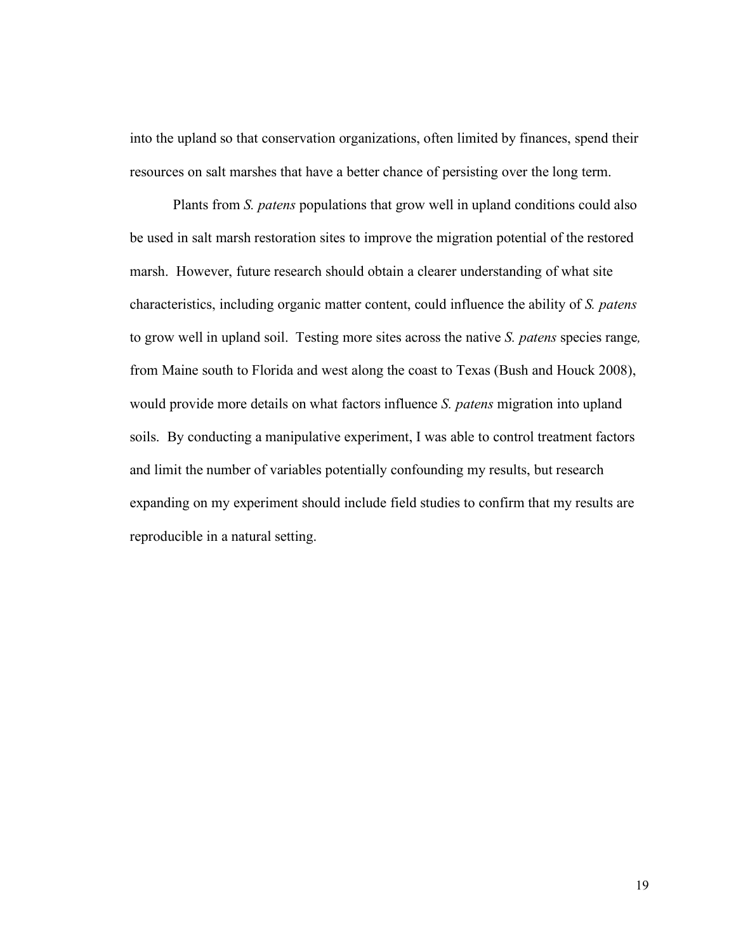into the upland so that conservation organizations, often limited by finances, spend their resources on salt marshes that have a better chance of persisting over the long term.

Plants from *S. patens* populations that grow well in upland conditions could also be used in salt marsh restoration sites to improve the migration potential of the restored marsh. However, future research should obtain a clearer understanding of what site characteristics, including organic matter content, could influence the ability of *S. patens* to grow well in upland soil. Testing more sites across the native *S. patens* species range*,*  from Maine south to Florida and west along the coast to Texas (Bush and Houck 2008), would provide more details on what factors influence *S. patens* migration into upland soils. By conducting a manipulative experiment, I was able to control treatment factors and limit the number of variables potentially confounding my results, but research expanding on my experiment should include field studies to confirm that my results are reproducible in a natural setting.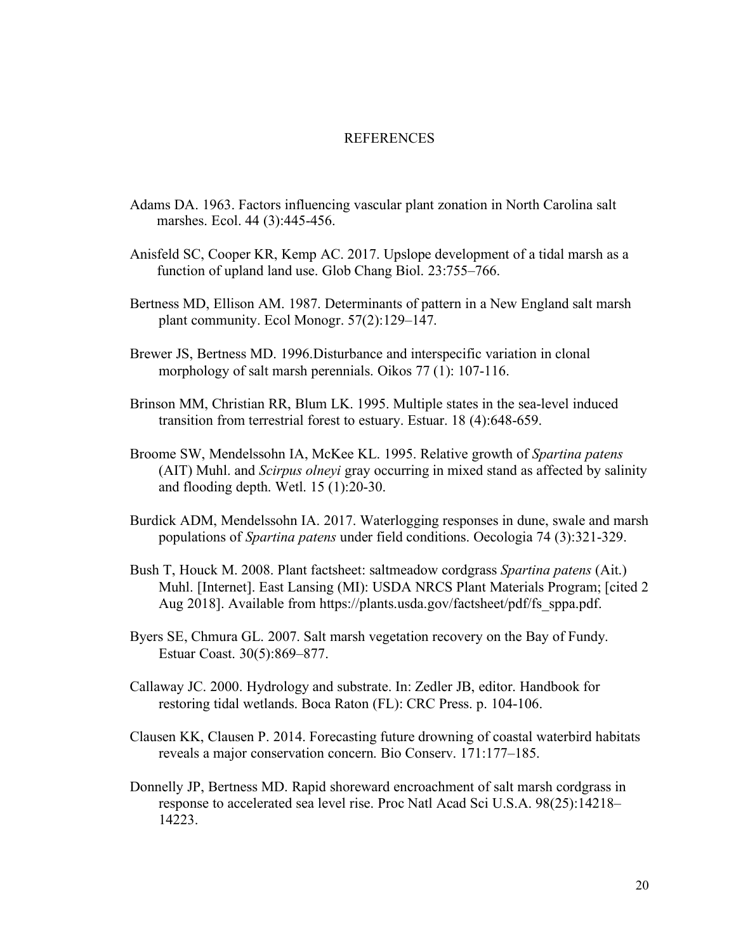#### REFERENCES

- Adams DA. 1963. Factors influencing vascular plant zonation in North Carolina salt marshes. Ecol. 44 (3):445-456.
- Anisfeld SC, Cooper KR, Kemp AC. 2017. Upslope development of a tidal marsh as a function of upland land use. Glob Chang Biol. 23:755–766.
- Bertness MD, Ellison AM. 1987. Determinants of pattern in a New England salt marsh plant community. Ecol Monogr. 57(2):129–147.
- Brewer JS, Bertness MD. 1996.Disturbance and interspecific variation in clonal morphology of salt marsh perennials. Oikos 77 (1): 107-116.
- Brinson MM, Christian RR, Blum LK. 1995. Multiple states in the sea-level induced transition from terrestrial forest to estuary. Estuar. 18 (4):648-659.
- Broome SW, Mendelssohn IA, McKee KL. 1995. Relative growth of *Spartina patens* (AIT) Muhl. and *Scirpus olneyi* gray occurring in mixed stand as affected by salinity and flooding depth. Wetl. 15 (1):20-30.
- Burdick ADM, Mendelssohn IA. 2017. Waterlogging responses in dune, swale and marsh populations of *Spartina patens* under field conditions. Oecologia 74 (3):321-329.
- Bush T, Houck M. 2008. Plant factsheet: saltmeadow cordgrass *Spartina patens* (Ait.) Muhl. [Internet]. East Lansing (MI): USDA NRCS Plant Materials Program; [cited 2 Aug 2018]. Available from https://plants.usda.gov/factsheet/pdf/fs\_sppa.pdf.
- Byers SE, Chmura GL. 2007. Salt marsh vegetation recovery on the Bay of Fundy. Estuar Coast. 30(5):869–877.
- Callaway JC. 2000. Hydrology and substrate. In: Zedler JB, editor. Handbook for restoring tidal wetlands. Boca Raton (FL): CRC Press. p. 104-106.
- Clausen KK, Clausen P. 2014. Forecasting future drowning of coastal waterbird habitats reveals a major conservation concern. Bio Conserv. 171:177–185.
- Donnelly JP, Bertness MD. Rapid shoreward encroachment of salt marsh cordgrass in response to accelerated sea level rise. Proc Natl Acad Sci U.S.A. 98(25):14218– 14223.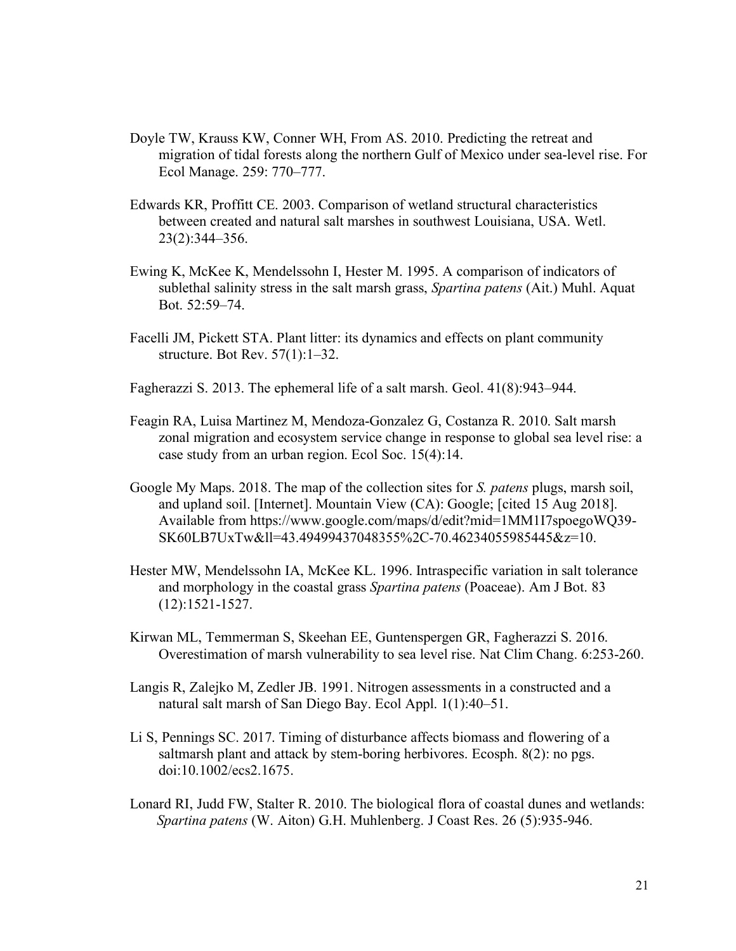- Doyle TW, Krauss KW, Conner WH, From AS. 2010. Predicting the retreat and migration of tidal forests along the northern Gulf of Mexico under sea-level rise. For Ecol Manage. 259: 770–777.
- Edwards KR, Proffitt CE. 2003. Comparison of wetland structural characteristics between created and natural salt marshes in southwest Louisiana, USA. Wetl. 23(2):344–356.
- Ewing K, McKee K, Mendelssohn I, Hester M. 1995. A comparison of indicators of sublethal salinity stress in the salt marsh grass, *Spartina patens* (Ait.) Muhl. Aquat Bot. 52:59–74.
- Facelli JM, Pickett STA. Plant litter: its dynamics and effects on plant community structure. Bot Rev. 57(1):1–32.
- Fagherazzi S. 2013. The ephemeral life of a salt marsh. Geol. 41(8):943–944.
- Feagin RA, Luisa Martinez M, Mendoza-Gonzalez G, Costanza R. 2010. Salt marsh zonal migration and ecosystem service change in response to global sea level rise: a case study from an urban region. Ecol Soc. 15(4):14.
- Google My Maps. 2018. The map of the collection sites for *S. patens* plugs, marsh soil, and upland soil. [Internet]. Mountain View (CA): Google; [cited 15 Aug 2018]. Available from https://www.google.com/maps/d/edit?mid=1MM1I7spoegoWQ39- SK60LB7UxTw&ll=43.49499437048355%2C-70.46234055985445&z=10.
- Hester MW, Mendelssohn IA, McKee KL. 1996. Intraspecific variation in salt tolerance and morphology in the coastal grass *Spartina patens* (Poaceae). Am J Bot. 83 (12):1521-1527.
- Kirwan ML, Temmerman S, Skeehan EE, Guntenspergen GR, Fagherazzi S. 2016. Overestimation of marsh vulnerability to sea level rise. Nat Clim Chang. 6:253-260.
- Langis R, Zalejko M, Zedler JB. 1991. Nitrogen assessments in a constructed and a natural salt marsh of San Diego Bay. Ecol Appl. 1(1):40–51.
- Li S, Pennings SC. 2017. Timing of disturbance affects biomass and flowering of a saltmarsh plant and attack by stem-boring herbivores. Ecosph. 8(2): no pgs. doi:10.1002/ecs2.1675.
- Lonard RI, Judd FW, Stalter R. 2010. The biological flora of coastal dunes and wetlands: *Spartina patens* (W. Aiton) G.H. Muhlenberg. J Coast Res. 26 (5):935-946.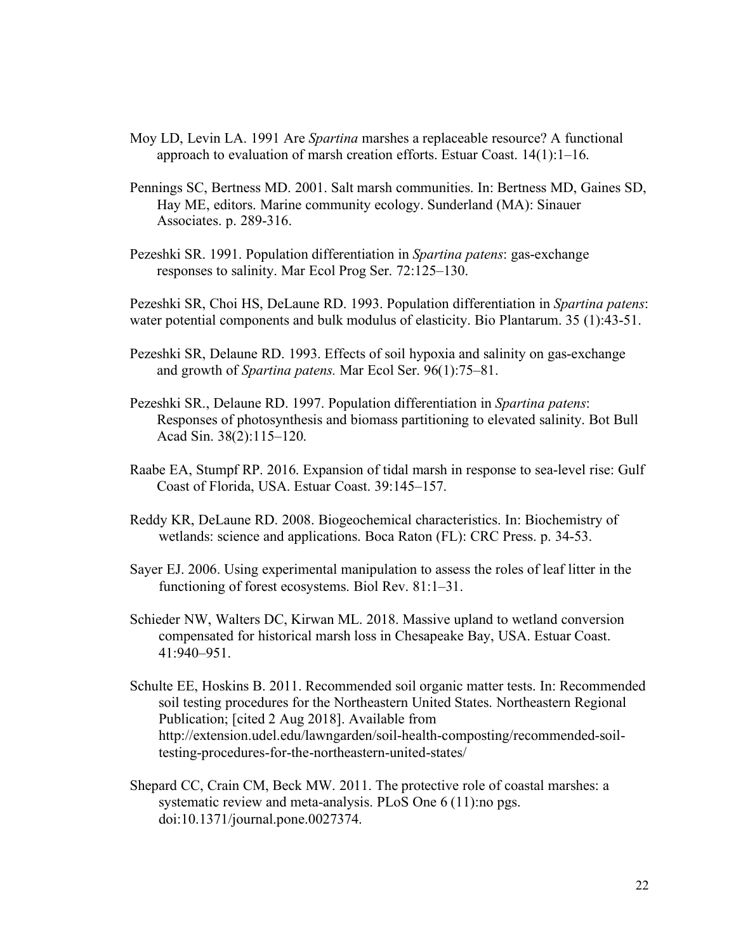- Moy LD, Levin LA. 1991 Are *Spartina* marshes a replaceable resource? A functional approach to evaluation of marsh creation efforts. Estuar Coast. 14(1):1–16.
- Pennings SC, Bertness MD. 2001. Salt marsh communities. In: Bertness MD, Gaines SD, Hay ME, editors. Marine community ecology. Sunderland (MA): Sinauer Associates. p. 289-316.
- Pezeshki SR. 1991. Population differentiation in *Spartina patens*: gas-exchange responses to salinity. Mar Ecol Prog Ser. 72:125–130.

Pezeshki SR, Choi HS, DeLaune RD. 1993. Population differentiation in *Spartina patens*: water potential components and bulk modulus of elasticity. Bio Plantarum. 35 (1):43-51.

- Pezeshki SR, Delaune RD. 1993. Effects of soil hypoxia and salinity on gas-exchange and growth of *Spartina patens.* Mar Ecol Ser. 96(1):75–81.
- Pezeshki SR., Delaune RD. 1997. Population differentiation in *Spartina patens*: Responses of photosynthesis and biomass partitioning to elevated salinity. Bot Bull Acad Sin. 38(2):115–120.
- Raabe EA, Stumpf RP. 2016. Expansion of tidal marsh in response to sea-level rise: Gulf Coast of Florida, USA. Estuar Coast. 39:145–157.
- Reddy KR, DeLaune RD. 2008. Biogeochemical characteristics. In: Biochemistry of wetlands: science and applications. Boca Raton (FL): CRC Press. p. 34-53.
- Sayer EJ. 2006. Using experimental manipulation to assess the roles of leaf litter in the functioning of forest ecosystems. Biol Rev. 81:1–31.
- Schieder NW, Walters DC, Kirwan ML. 2018. Massive upland to wetland conversion compensated for historical marsh loss in Chesapeake Bay, USA. Estuar Coast. 41:940–951.
- Schulte EE, Hoskins B. 2011. Recommended soil organic matter tests. In: Recommended soil testing procedures for the Northeastern United States. Northeastern Regional Publication; [cited 2 Aug 2018]. Available from http://extension.udel.edu/lawngarden/soil-health-composting/recommended-soiltesting-procedures-for-the-northeastern-united-states/
- Shepard CC, Crain CM, Beck MW. 2011. The protective role of coastal marshes: a systematic review and meta-analysis. PLoS One 6 (11):no pgs. doi:10.1371/journal.pone.0027374.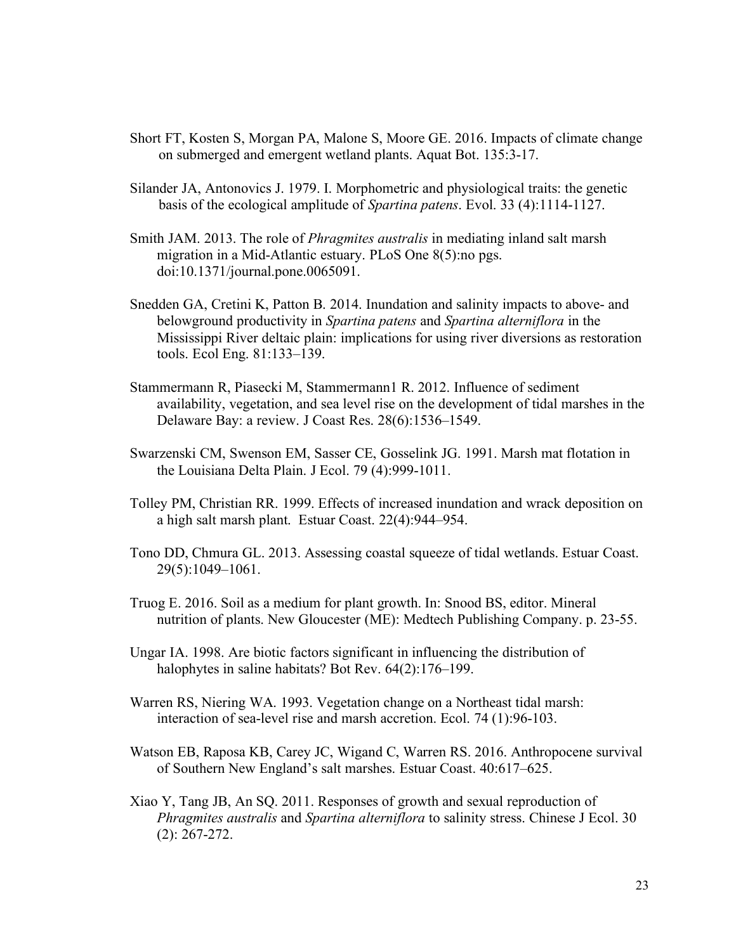- Short FT, Kosten S, Morgan PA, Malone S, Moore GE. 2016. Impacts of climate change on submerged and emergent wetland plants. Aquat Bot. 135:3-17.
- Silander JA, Antonovics J. 1979. I. Morphometric and physiological traits: the genetic basis of the ecological amplitude of *Spartina patens*. Evol. 33 (4):1114-1127.
- Smith JAM. 2013. The role of *Phragmites australis* in mediating inland salt marsh migration in a Mid-Atlantic estuary. PLoS One 8(5):no pgs. doi:10.1371/journal.pone.0065091.
- Snedden GA, Cretini K, Patton B. 2014. Inundation and salinity impacts to above- and belowground productivity in *Spartina patens* and *Spartina alterniflora* in the Mississippi River deltaic plain: implications for using river diversions as restoration tools. Ecol Eng. 81:133–139.
- Stammermann R, Piasecki M, Stammermann1 R. 2012. Influence of sediment availability, vegetation, and sea level rise on the development of tidal marshes in the Delaware Bay: a review. J Coast Res. 28(6):1536–1549.
- Swarzenski CM, Swenson EM, Sasser CE, Gosselink JG. 1991. Marsh mat flotation in the Louisiana Delta Plain. J Ecol. 79 (4):999-1011.
- Tolley PM, Christian RR. 1999. Effects of increased inundation and wrack deposition on a high salt marsh plant. Estuar Coast. 22(4):944–954.
- Tono DD, Chmura GL. 2013. Assessing coastal squeeze of tidal wetlands. Estuar Coast. 29(5):1049–1061.
- Truog E. 2016. Soil as a medium for plant growth. In: Snood BS, editor. Mineral nutrition of plants. New Gloucester (ME): Medtech Publishing Company. p. 23-55.
- Ungar IA. 1998. Are biotic factors significant in influencing the distribution of halophytes in saline habitats? Bot Rev. 64(2):176-199.
- Warren RS, Niering WA. 1993. Vegetation change on a Northeast tidal marsh: interaction of sea-level rise and marsh accretion. Ecol. 74 (1):96-103.
- Watson EB, Raposa KB, Carey JC, Wigand C, Warren RS. 2016. Anthropocene survival of Southern New England's salt marshes. Estuar Coast. 40:617–625.
- Xiao Y, Tang JB, An SQ. 2011. Responses of growth and sexual reproduction of *Phragmites australis* and *Spartina alterniflora* to salinity stress. Chinese J Ecol. 30 (2): 267-272.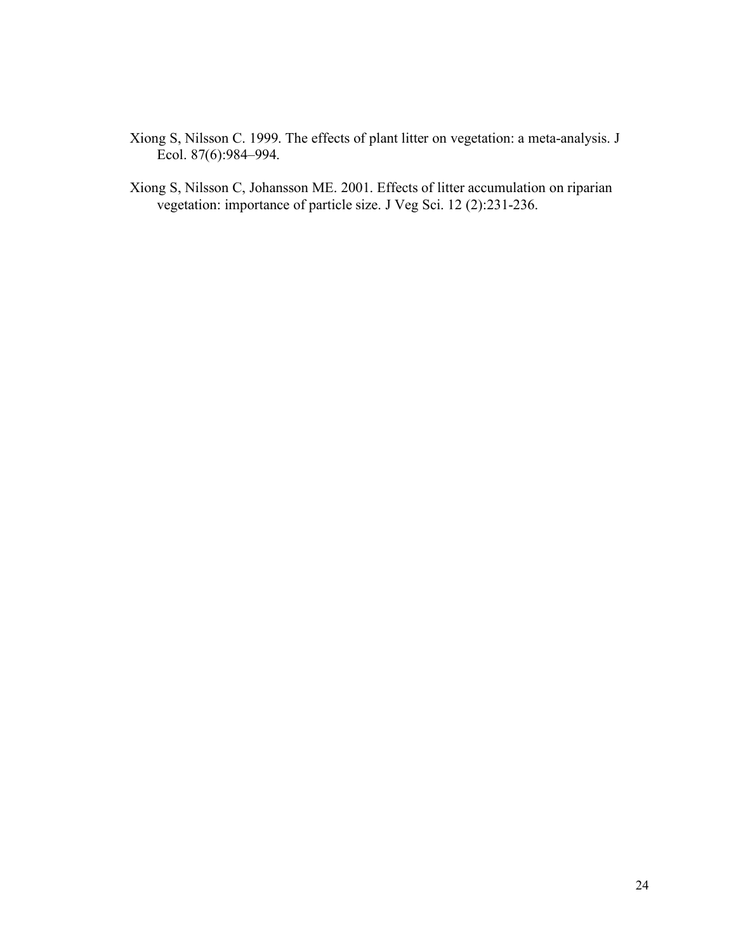- Xiong S, Nilsson C. 1999. The effects of plant litter on vegetation: a meta-analysis. J Ecol. 87(6):984–994.
- Xiong S, Nilsson C, Johansson ME. 2001. Effects of litter accumulation on riparian vegetation: importance of particle size. J Veg Sci. 12 (2):231-236.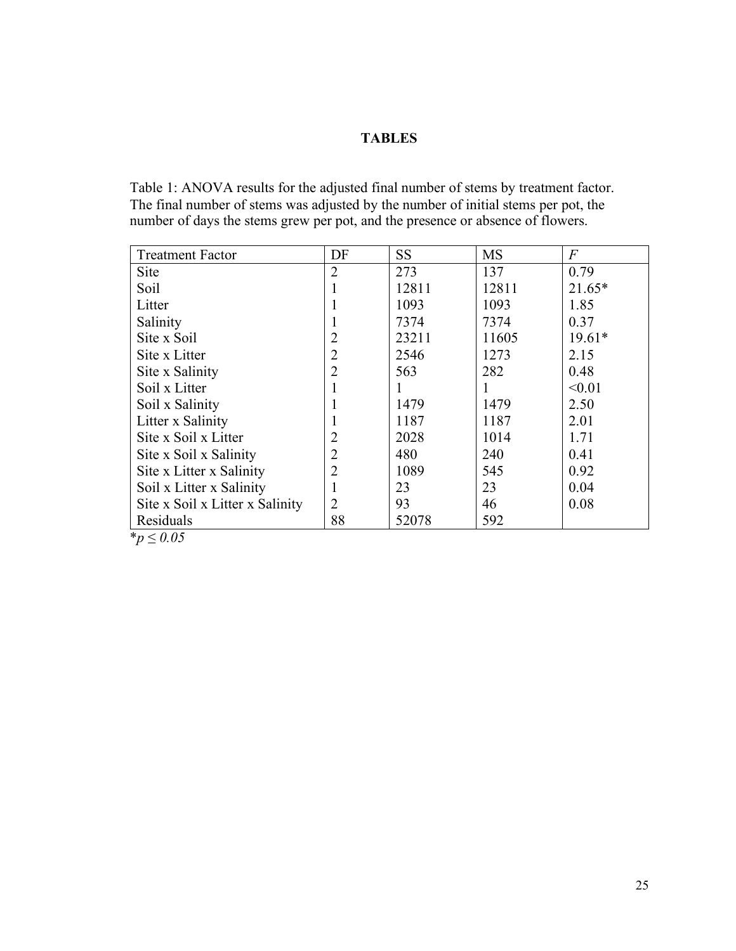## **TABLES**

Table 1: ANOVA results for the adjusted final number of stems by treatment factor. The final number of stems was adjusted by the number of initial stems per pot, the number of days the stems grew per pot, and the presence or absence of flowers.

| <b>Treatment Factor</b>         | DF             | <b>SS</b> | <b>MS</b> | $\overline{F}$ |
|---------------------------------|----------------|-----------|-----------|----------------|
| <b>Site</b>                     | $\overline{2}$ | 273       | 137       | 0.79           |
| Soil                            |                | 12811     | 12811     | $21.65*$       |
| Litter                          |                | 1093      | 1093      | 1.85           |
| Salinity                        |                | 7374      | 7374      | 0.37           |
| Site x Soil                     | 2              | 23211     | 11605     | $19.61*$       |
| Site x Litter                   | 2              | 2546      | 1273      | 2.15           |
| Site x Salinity                 | $\overline{2}$ | 563       | 282       | 0.48           |
| Soil x Litter                   |                | 1         | Ι.        | < 0.01         |
| Soil x Salinity                 |                | 1479      | 1479      | 2.50           |
| Litter x Salinity               |                | 1187      | 1187      | 2.01           |
| Site x Soil x Litter            | $\overline{2}$ | 2028      | 1014      | 1.71           |
| Site x Soil x Salinity          | $\overline{2}$ | 480       | 240       | 0.41           |
| Site x Litter x Salinity        | $\overline{2}$ | 1089      | 545       | 0.92           |
| Soil x Litter x Salinity        |                | 23        | 23        | 0.04           |
| Site x Soil x Litter x Salinity | $\overline{2}$ | 93        | 46        | 0.08           |
| Residuals                       | 88             | 52078     | 592       |                |

 $p \leq 0.05$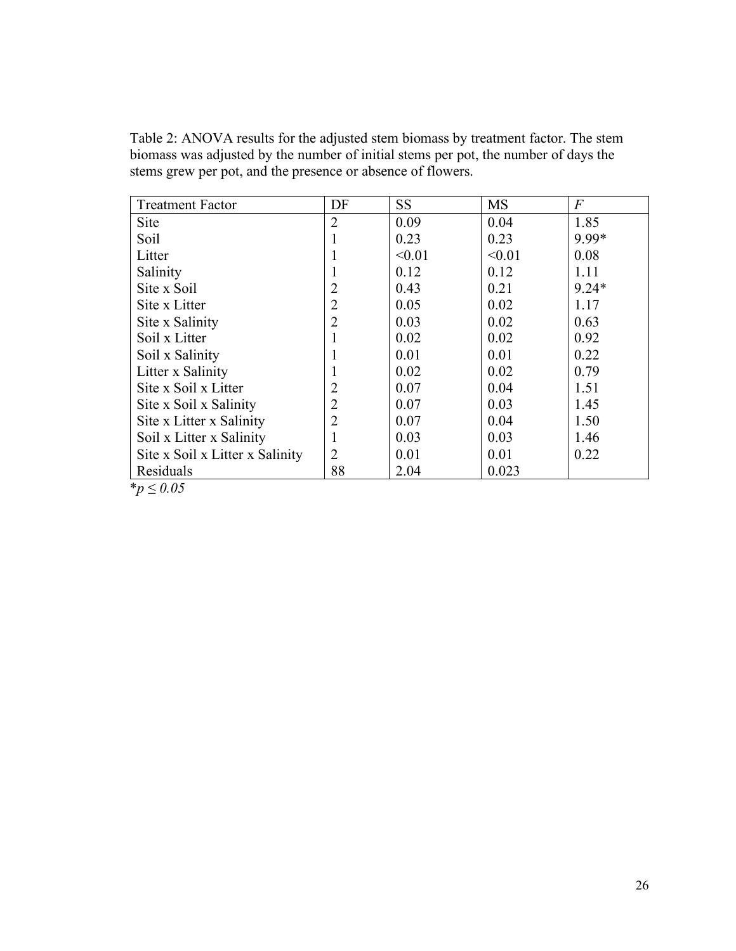Table 2: ANOVA results for the adjusted stem biomass by treatment factor. The stem biomass was adjusted by the number of initial stems per pot, the number of days the stems grew per pot, and the presence or absence of flowers.

| <b>Treatment Factor</b>         | DF             | <b>SS</b> | <b>MS</b> | $\overline{F}$ |
|---------------------------------|----------------|-----------|-----------|----------------|
| <b>Site</b>                     | $\overline{2}$ | 0.09      | 0.04      | 1.85           |
| Soil                            |                | 0.23      | 0.23      | 9.99*          |
| Litter                          |                | < 0.01    | < 0.01    | 0.08           |
| Salinity                        |                | 0.12      | 0.12      | 1.11           |
| Site x Soil                     |                | 0.43      | 0.21      | $9.24*$        |
| Site x Litter                   | $\overline{2}$ | 0.05      | 0.02      | 1.17           |
| Site x Salinity                 | 2              | 0.03      | 0.02      | 0.63           |
| Soil x Litter                   |                | 0.02      | 0.02      | 0.92           |
| Soil x Salinity                 |                | 0.01      | 0.01      | 0.22           |
| Litter x Salinity               |                | 0.02      | 0.02      | 0.79           |
| Site x Soil x Litter            | 2              | 0.07      | 0.04      | 1.51           |
| Site x Soil x Salinity          | $\overline{2}$ | 0.07      | 0.03      | 1.45           |
| Site x Litter x Salinity        | $\overline{2}$ | 0.07      | 0.04      | 1.50           |
| Soil x Litter x Salinity        |                | 0.03      | 0.03      | 1.46           |
| Site x Soil x Litter x Salinity | $\overline{2}$ | 0.01      | 0.01      | 0.22           |
| Residuals                       | 88             | 2.04      | 0.023     |                |
| *~ $\sim$ 0.05                  |                |           |           |                |

\**p* ≤ *0.05*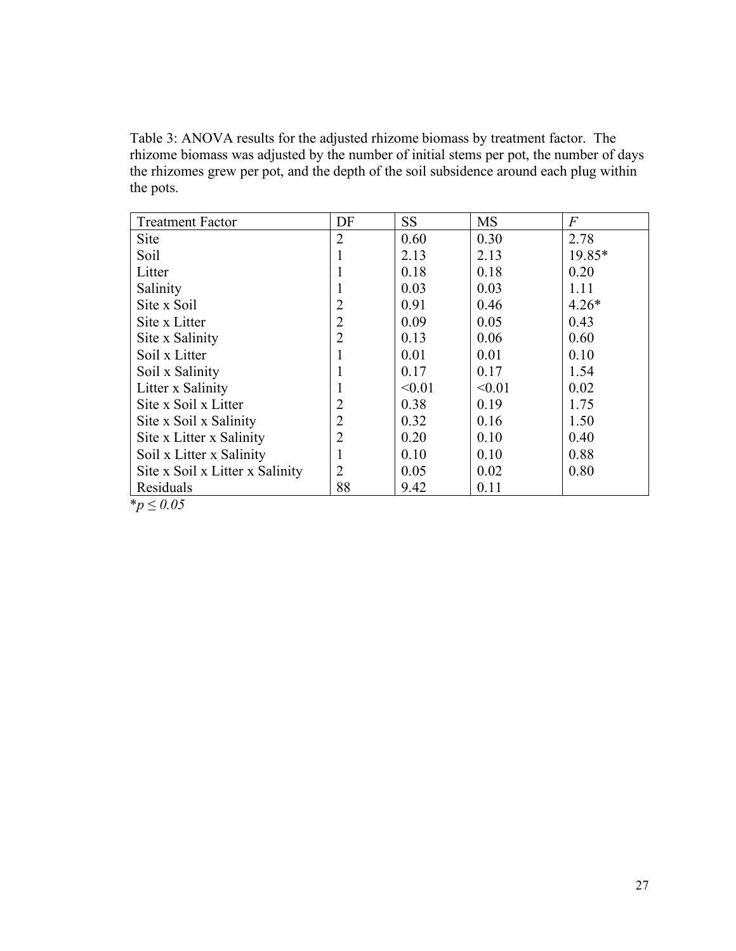Table 3: ANOVA results for the adjusted rhizome biomass by treatment factor. The rhizome biomass was adjusted by the number of initial stems per pot, the number of days the rhizomes grew per pot, and the depth of the soil subsidence around each plug within the pots.

| <b>Treatment Factor</b>         | DF             | <b>SS</b> | <b>MS</b> | $\overline{F}$ |  |  |  |
|---------------------------------|----------------|-----------|-----------|----------------|--|--|--|
| Site                            | $\overline{2}$ | 0.60      | 0.30      | 2.78           |  |  |  |
| Soil                            |                | 2.13      | 2.13      | 19.85*         |  |  |  |
| Litter                          | 1              | 0.18      | 0.18      | 0.20           |  |  |  |
| Salinity                        |                | 0.03      | 0.03      | 1.11           |  |  |  |
| Site x Soil                     | $\overline{2}$ | 0.91      | 0.46      | $4.26*$        |  |  |  |
| Site x Litter                   | $\overline{2}$ | 0.09      | 0.05      | 0.43           |  |  |  |
| Site x Salinity                 | $\overline{2}$ | 0.13      | 0.06      | 0.60           |  |  |  |
| Soil x Litter                   | 1              | 0.01      | 0.01      | 0.10           |  |  |  |
| Soil x Salinity                 | 1              | 0.17      | 0.17      | 1.54           |  |  |  |
| Litter x Salinity               | 1              | < 0.01    | < 0.01    | 0.02           |  |  |  |
| Site x Soil x Litter            | $\overline{2}$ | 0.38      | 0.19      | 1.75           |  |  |  |
| Site x Soil x Salinity          | $\overline{2}$ | 0.32      | 0.16      | 1.50           |  |  |  |
| Site x Litter x Salinity        | $\overline{2}$ | 0.20      | 0.10      | 0.40           |  |  |  |
| Soil x Litter x Salinity        | 1              | 0.10      | 0.10      | 0.88           |  |  |  |
| Site x Soil x Litter x Salinity | $\overline{2}$ | 0.05      | 0.02      | 0.80           |  |  |  |
| Residuals                       | 88             | 9.42      | 0.11      |                |  |  |  |
| <i>*p</i> ≤ 0.05                |                |           |           |                |  |  |  |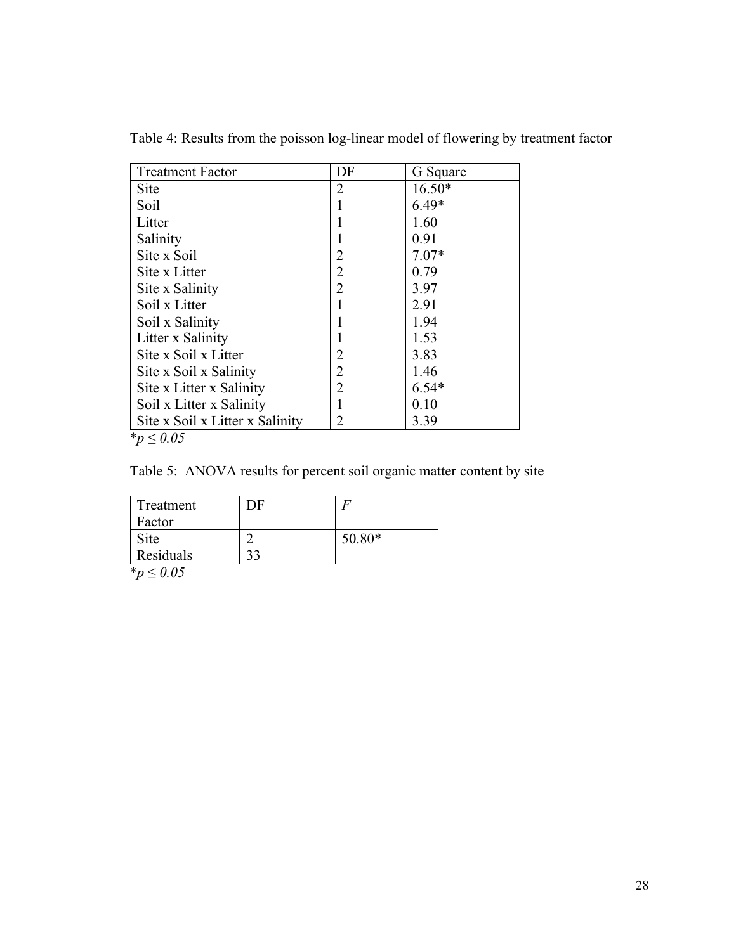| <b>Treatment Factor</b>         | DF             | G Square |
|---------------------------------|----------------|----------|
| <b>Site</b>                     | 2              | $16.50*$ |
| Soil                            |                | $6.49*$  |
| Litter                          |                | 1.60     |
| Salinity                        |                | 0.91     |
| Site x Soil                     | $\overline{2}$ | $7.07*$  |
| Site x Litter                   | $\overline{2}$ | 0.79     |
| Site x Salinity                 | $\overline{2}$ | 3.97     |
| Soil x Litter                   |                | 2.91     |
| Soil x Salinity                 |                | 1.94     |
| Litter x Salinity               |                | 1.53     |
| Site x Soil x Litter            | 2              | 3.83     |
| Site x Soil x Salinity          | $\overline{2}$ | 1.46     |
| Site x Litter x Salinity        | $\overline{2}$ | $6.54*$  |
| Soil x Litter x Salinity        |                | 0.10     |
| Site x Soil x Litter x Salinity | 2              | 3.39     |

Table 4: Results from the poisson log-linear model of flowering by treatment factor

\**p* ≤ *0.05*

Table 5: ANOVA results for percent soil organic matter content by site

| Treatment<br>Factor | ЭF |          |
|---------------------|----|----------|
| Site                |    | $50.80*$ |
| Residuals           | າາ |          |

 $\sqrt{\frac{4}{p}} \leq 0.05$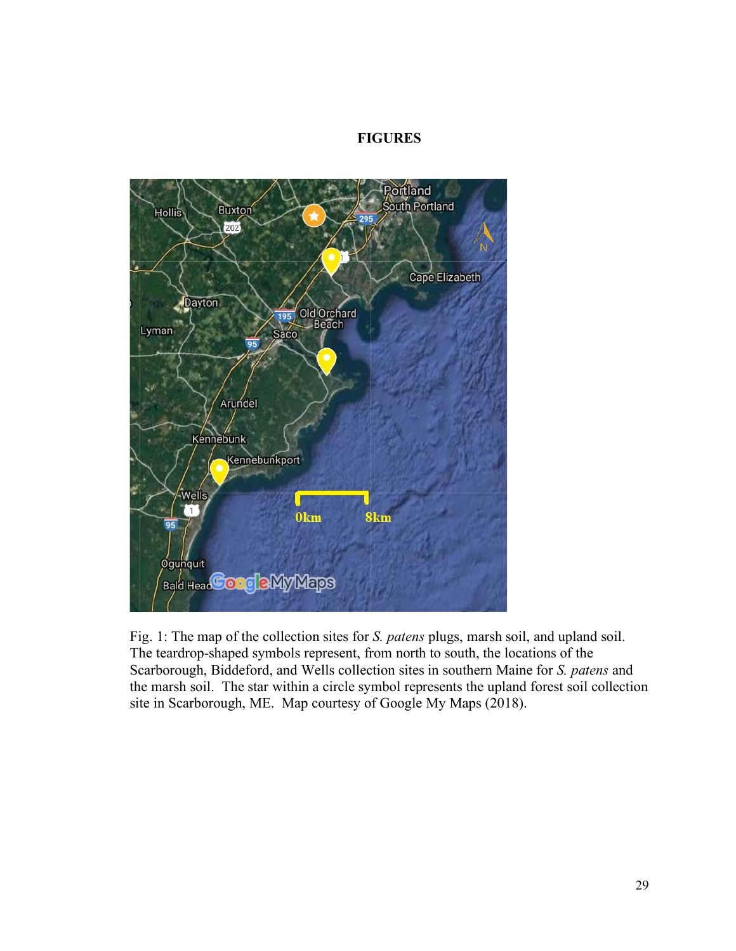## **FIGURES**



Fig. 1: The map of the collection sites for *S. patens* plugs, marsh soil, and upland soil. The teardrop-shaped symbols represent, from north to south, the locations of the Scarborough, Biddeford, and Wells collection sites in southern Maine for *S. patens* and the marsh soil. The star within a circle symbol represents the upland forest soil collection site in Scarborough, ME. Map courtesy of Google My Maps (2018).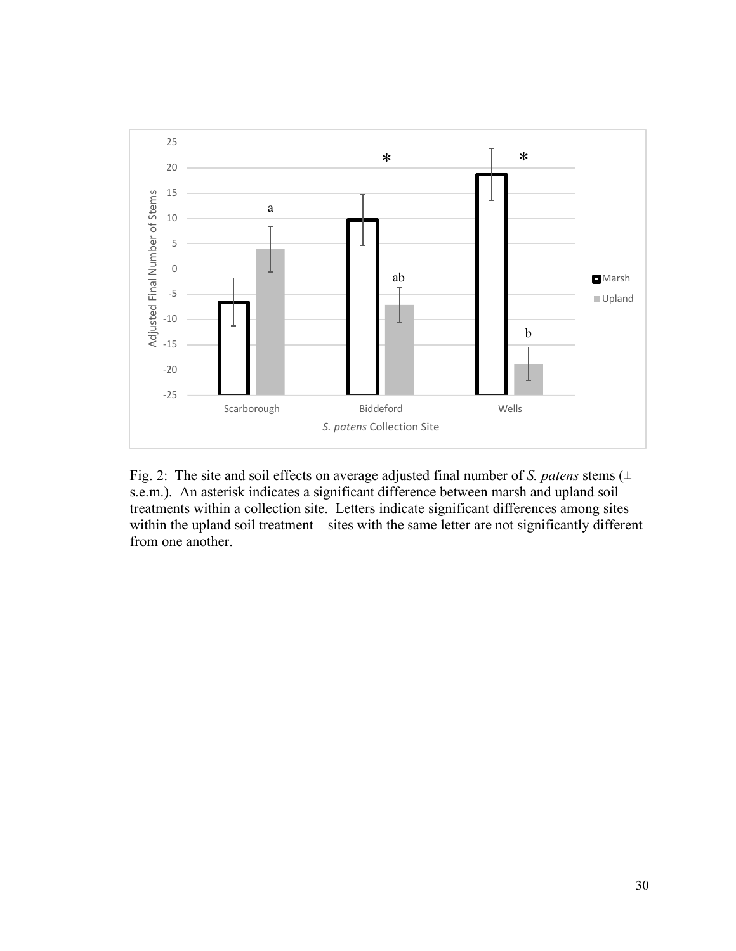

Fig. 2: The site and soil effects on average adjusted final number of *S. patens* stems (± s.e.m.). An asterisk indicates a significant difference between marsh and upland soil treatments within a collection site. Letters indicate significant differences among sites within the upland soil treatment – sites with the same letter are not significantly different from one another.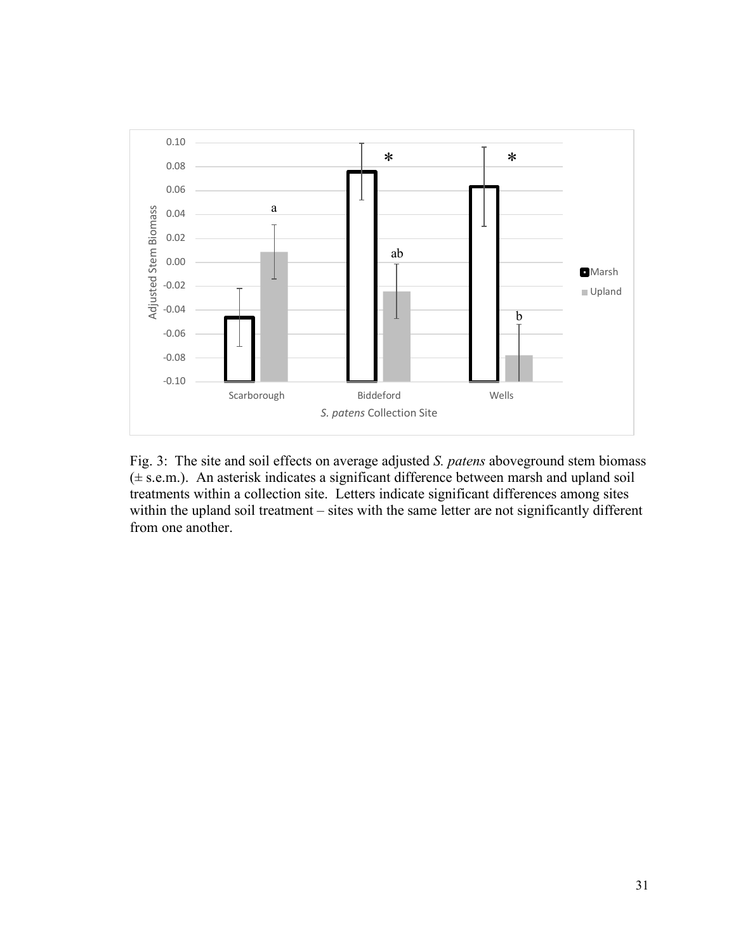

Fig. 3: The site and soil effects on average adjusted *S. patens* aboveground stem biomass (± s.e.m.). An asterisk indicates a significant difference between marsh and upland soil treatments within a collection site. Letters indicate significant differences among sites within the upland soil treatment – sites with the same letter are not significantly different from one another.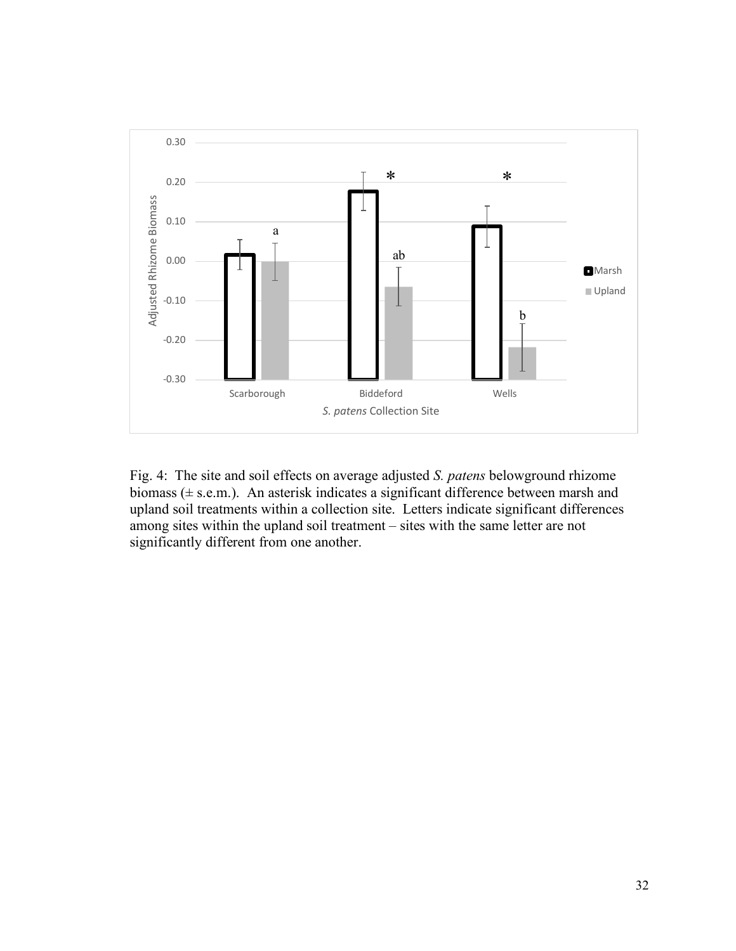

Fig. 4: The site and soil effects on average adjusted *S. patens* belowground rhizome biomass (± s.e.m.). An asterisk indicates a significant difference between marsh and upland soil treatments within a collection site. Letters indicate significant differences among sites within the upland soil treatment – sites with the same letter are not significantly different from one another.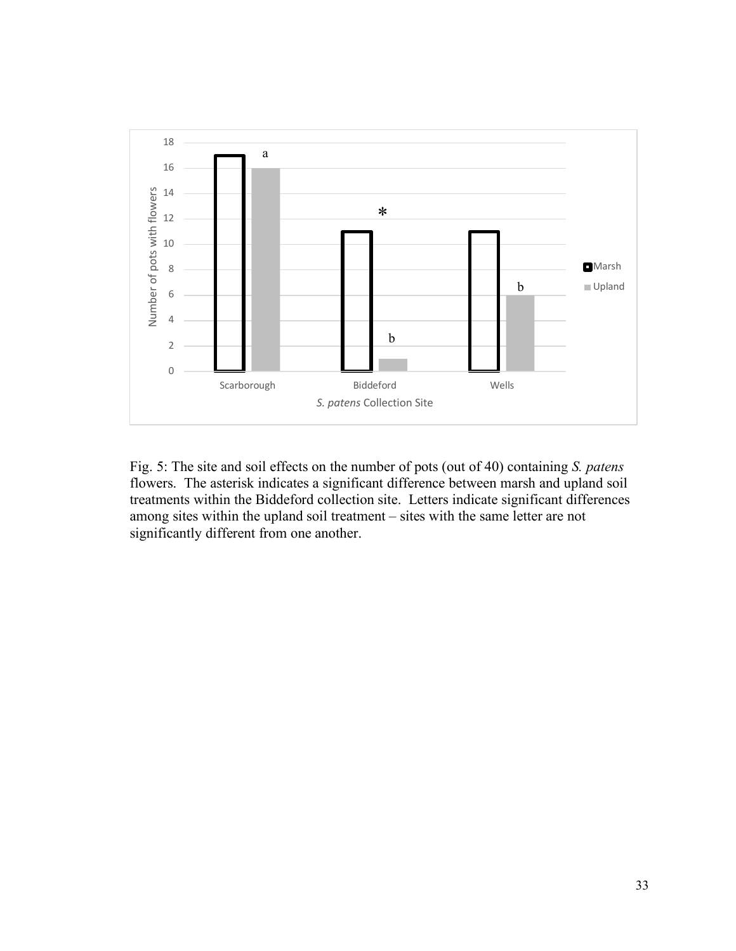![](_page_42_Figure_0.jpeg)

Fig. 5: The site and soil effects on the number of pots (out of 40) containing *S. patens*  flowers. The asterisk indicates a significant difference between marsh and upland soil treatments within the Biddeford collection site. Letters indicate significant differences among sites within the upland soil treatment – sites with the same letter are not significantly different from one another.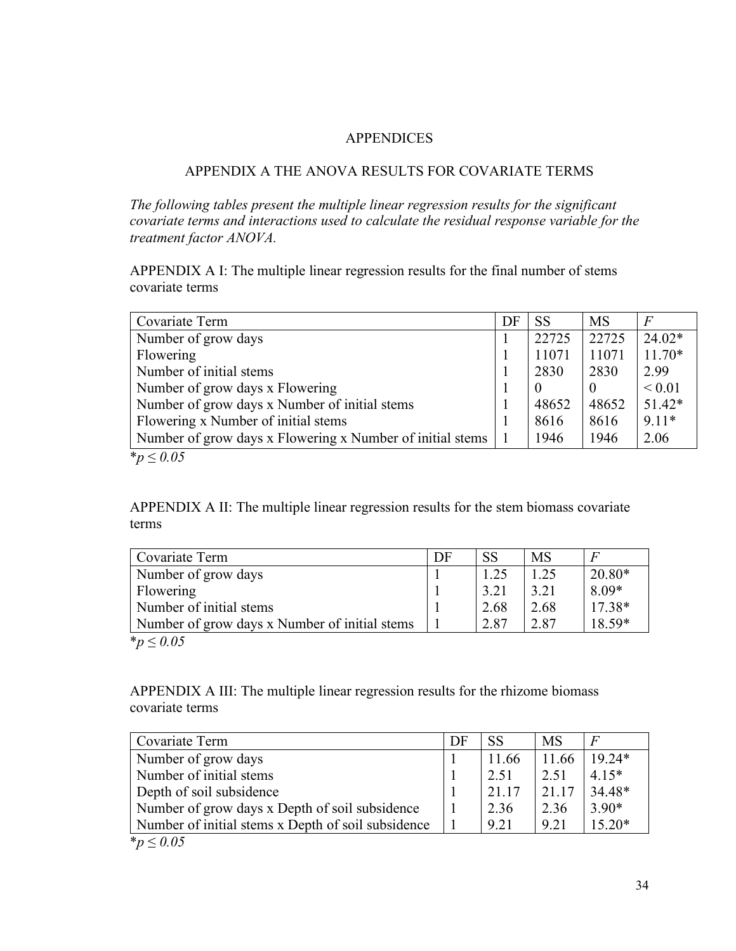## APPENDICES

## APPENDIX A THE ANOVA RESULTS FOR COVARIATE TERMS

*The following tables present the multiple linear regression results for the significant covariate terms and interactions used to calculate the residual response variable for the treatment factor ANOVA.*

APPENDIX A I: The multiple linear regression results for the final number of stems covariate terms

| Covariate Term                                            | DF | <b>SS</b> | <b>MS</b> | $\overline{F}$ |
|-----------------------------------------------------------|----|-----------|-----------|----------------|
| Number of grow days                                       |    | 22725     | 22725     | $24.02*$       |
| Flowering                                                 |    | 11071     | 11071     | $11.70*$       |
| Number of initial stems                                   |    | 2830      | 2830      | 2.99           |
| Number of grow days x Flowering                           |    |           | $\Omega$  | ${}< 0.01$     |
| Number of grow days x Number of initial stems             |    | 48652     | 48652     | $51.42*$       |
| Flowering x Number of initial stems                       |    | 8616      | 8616      | $9.11*$        |
| Number of grow days x Flowering x Number of initial stems |    | 1946      | 1946      | 2.06           |
| <i>*p</i> ≤ 0.05                                          |    |           |           |                |

APPENDIX A II: The multiple linear regression results for the stem biomass covariate terms

| Covariate Term                                | DF | <b>SS</b> | <b>MS</b> |          |  |
|-----------------------------------------------|----|-----------|-----------|----------|--|
| Number of grow days                           |    | 1.25      | 1.25      | $20.80*$ |  |
| Flowering                                     |    | 3.21      | 3.21      | 8.09*    |  |
| Number of initial stems                       |    | 2.68      | 2.68      | $17.38*$ |  |
| Number of grow days x Number of initial stems |    | 2.87      | 2.87      | 18.59*   |  |
| $*p ≤ 0.05$                                   |    |           |           |          |  |

APPENDIX A III: The multiple linear regression results for the rhizome biomass covariate terms

| Covariate Term                                     | DF | <b>SS</b> | <b>MS</b> |          |
|----------------------------------------------------|----|-----------|-----------|----------|
| Number of grow days                                |    | 11.66     | 11.66     | $19.24*$ |
| Number of initial stems                            |    | 2.51      | 2.51      | $4.15*$  |
| Depth of soil subsidence                           |    | 21.17     | 21.17     | 34.48*   |
| Number of grow days x Depth of soil subsidence     |    | 2.36      | 2.36      | $3.90*$  |
| Number of initial stems x Depth of soil subsidence |    | 9.21      | 9.21      | $15.20*$ |
| <i>*p</i> ≤ 0.05                                   |    |           |           |          |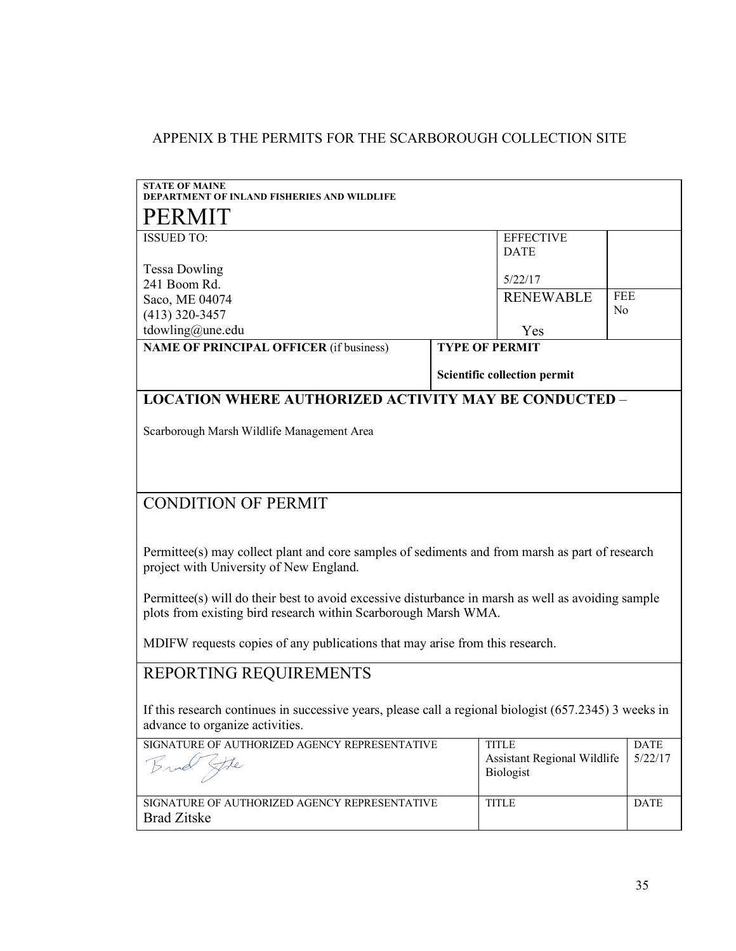# APPENIX B THE PERMITS FOR THE SCARBOROUGH COLLECTION SITE

| <b>STATE OF MAINE</b><br>RTMENT OF INLAND FISHERIES AND WILDLIFE                                                                                                      |                                 |                                                 |             |  |  |  |
|-----------------------------------------------------------------------------------------------------------------------------------------------------------------------|---------------------------------|-------------------------------------------------|-------------|--|--|--|
| PERMIT                                                                                                                                                                |                                 |                                                 |             |  |  |  |
| <b>ISSUED TO:</b>                                                                                                                                                     | <b>EFFECTIVE</b><br><b>DATE</b> |                                                 |             |  |  |  |
| <b>Tessa Dowling</b>                                                                                                                                                  |                                 |                                                 |             |  |  |  |
| 241 Boom Rd.                                                                                                                                                          |                                 | 5/22/17                                         |             |  |  |  |
| Saco, ME 04074                                                                                                                                                        |                                 | <b>RENEWABLE</b>                                | <b>FEE</b>  |  |  |  |
| $(413)$ 320-3457                                                                                                                                                      |                                 |                                                 | No          |  |  |  |
| tdowling@une.edu                                                                                                                                                      |                                 | Yes                                             |             |  |  |  |
| <b>NAME OF PRINCIPAL OFFICER (if business)</b>                                                                                                                        | <b>TYPE OF PERMIT</b>           |                                                 |             |  |  |  |
|                                                                                                                                                                       |                                 | <b>Scientific collection permit</b>             |             |  |  |  |
| <b>LOCATION WHERE AUTHORIZED ACTIVITY MAY BE CONDUCTED -</b>                                                                                                          |                                 |                                                 |             |  |  |  |
| Scarborough Marsh Wildlife Management Area                                                                                                                            |                                 |                                                 |             |  |  |  |
|                                                                                                                                                                       |                                 |                                                 |             |  |  |  |
|                                                                                                                                                                       |                                 |                                                 |             |  |  |  |
| <b>CONDITION OF PERMIT</b>                                                                                                                                            |                                 |                                                 |             |  |  |  |
|                                                                                                                                                                       |                                 |                                                 |             |  |  |  |
| Permittee(s) may collect plant and core samples of sediments and from marsh as part of research                                                                       |                                 |                                                 |             |  |  |  |
| project with University of New England.                                                                                                                               |                                 |                                                 |             |  |  |  |
| Permittee(s) will do their best to avoid excessive disturbance in marsh as well as avoiding sample<br>plots from existing bird research within Scarborough Marsh WMA. |                                 |                                                 |             |  |  |  |
|                                                                                                                                                                       |                                 |                                                 |             |  |  |  |
| MDIFW requests copies of any publications that may arise from this research.                                                                                          |                                 |                                                 |             |  |  |  |
| REPORTING REQUIREMENTS                                                                                                                                                |                                 |                                                 |             |  |  |  |
|                                                                                                                                                                       |                                 |                                                 |             |  |  |  |
| If this research continues in successive years, please call a regional biologist (657.2345) 3 weeks in<br>advance to organize activities.                             |                                 |                                                 |             |  |  |  |
| SIGNATURE OF AUTHORIZED AGENCY REPRESENTATIVE                                                                                                                         |                                 | <b>TITLE</b>                                    | <b>DATE</b> |  |  |  |
| Fle                                                                                                                                                                   |                                 | <b>Assistant Regional Wildlife</b><br>Biologist | 5/22/17     |  |  |  |
|                                                                                                                                                                       |                                 |                                                 |             |  |  |  |
| SIGNATURE OF AUTHORIZED AGENCY REPRESENTATIVE                                                                                                                         |                                 | <b>TITLE</b>                                    | <b>DATE</b> |  |  |  |
| <b>Brad Zitske</b>                                                                                                                                                    |                                 |                                                 |             |  |  |  |